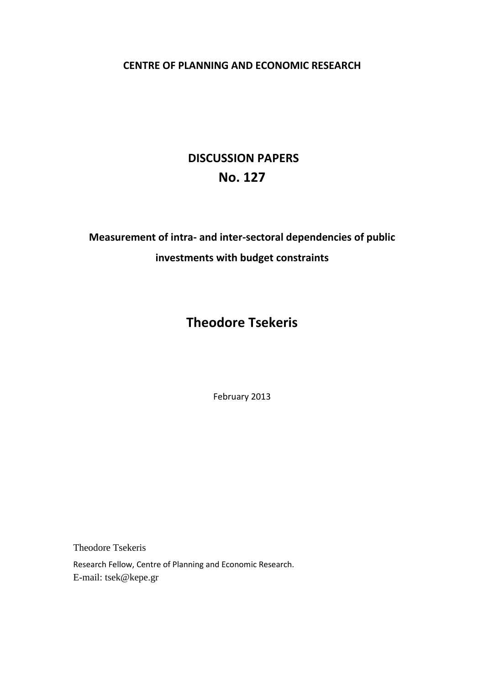## **CENTRE OF PLANNING AND ECONOMIC RESEARCH**

# **DISCUSSION PAPERS No. 127**

**Measurement of intra- and inter-sectoral dependencies of public investments with budget constraints** 

# **Theodore Tsekeris**

February 2013

Theodore Tsekeris

Research Fellow, Centre of Planning and Economic Research.

E-mail: tsek@kepe.gr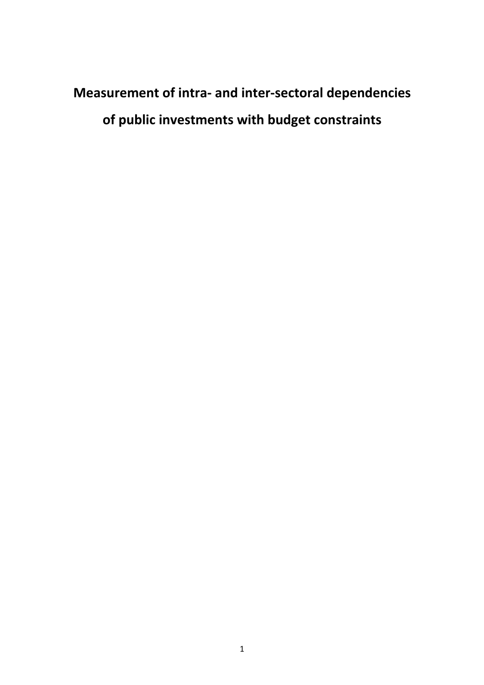# **Measurement of intra- and inter-sectoral dependencies of public investments with budget constraints**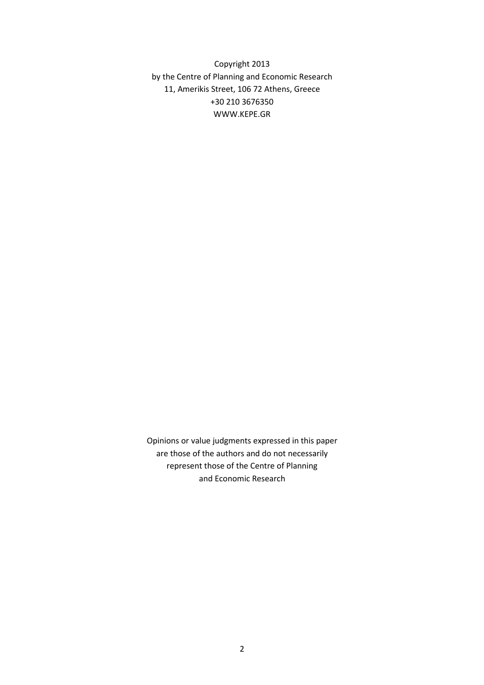Copyright 2013 by the Centre of Planning and Economic Research 11, Amerikis Street, 106 72 Athens, Greece +30 210 3676350 WWW.KEPE.GR

Opinions or value judgments expressed in this paper are those of the authors and do not necessarily represent those of the Centre of Planning and Economic Research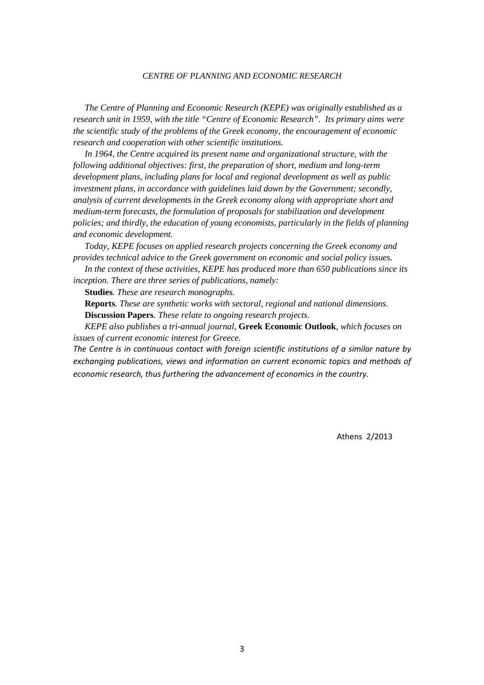#### *CENTRE OF PLANNING AND ECONOMIC RESEARCH*

*The Centre of Planning and Economic Research (KEPE) was originally established as a research unit in 1959, with the title "Centre of Economic Research". Its primary aims were the scientific study of the problems of the Greek economy, the encouragement of economic research and cooperation with other scientific institutions.* 

*In 1964, the Centre acquired its present name and organizational structure, with the following additional objectives: first, the preparation of short, medium and long-term development plans, including plans for local and regional development as well as public investment plans, in accordance with guidelines laid down by the Government; secondly, analysis of current developments in the Greek economy along with appropriate short and medium-term forecasts, the formulation of proposals for stabilization and development policies; and thirdly, the education of young economists, particularly in the fields of planning and economic development.* 

*Today, KEPE focuses on applied research projects concerning the Greek economy and provides technical advice to the Greek government on economic and social policy issues.* 

*In the context of these activities, KEPE has produced more than 650 publications since its inception. There are three series of publications, namely:* 

**Studies***. These are research monographs.* 

**Reports***. These are synthetic works with sectoral, regional and national dimensions.*  **Discussion Papers***. These relate to ongoing research projects.* 

*KEPE also publishes a tri-annual journal,* **Greek Economic Outlook***, which focuses on issues of current economic interest for Greece.* 

*The Centre is in continuous contact with foreign scientific institutions of a similar nature by exchanging publications, views and information on current economic topics and methods of economic research, thus furthering the advancement of economics in the country.* 

Athens 2/2013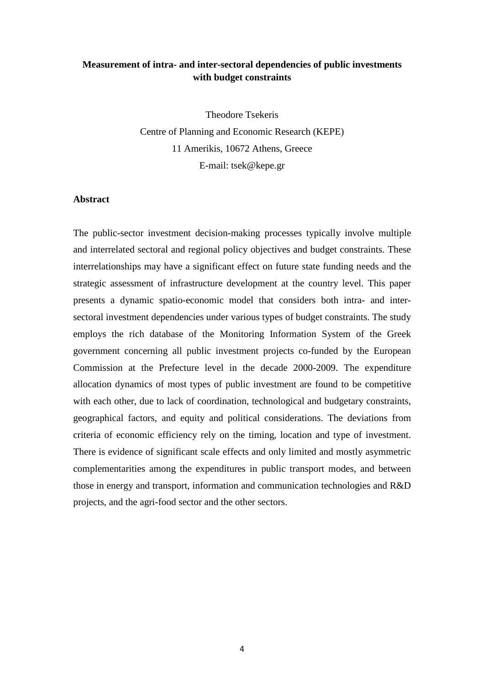### **Measurement of intra- and inter-sectoral dependencies of public investments with budget constraints**

Theodore Tsekeris Centre of Planning and Economic Research (KEPE) 11 Amerikis, 10672 Athens, Greece E-mail: tsek@kepe.gr

#### **Abstract**

The public-sector investment decision-making processes typically involve multiple and interrelated sectoral and regional policy objectives and budget constraints. These interrelationships may have a significant effect on future state funding needs and the strategic assessment of infrastructure development at the country level. This paper presents a dynamic spatio-economic model that considers both intra- and intersectoral investment dependencies under various types of budget constraints. The study employs the rich database of the Monitoring Information System of the Greek government concerning all public investment projects co-funded by the European Commission at the Prefecture level in the decade 2000-2009. The expenditure allocation dynamics of most types of public investment are found to be competitive with each other, due to lack of coordination, technological and budgetary constraints, geographical factors, and equity and political considerations. The deviations from criteria of economic efficiency rely on the timing, location and type of investment. There is evidence of significant scale effects and only limited and mostly asymmetric complementarities among the expenditures in public transport modes, and between those in energy and transport, information and communication technologies and R&D projects, and the agri-food sector and the other sectors.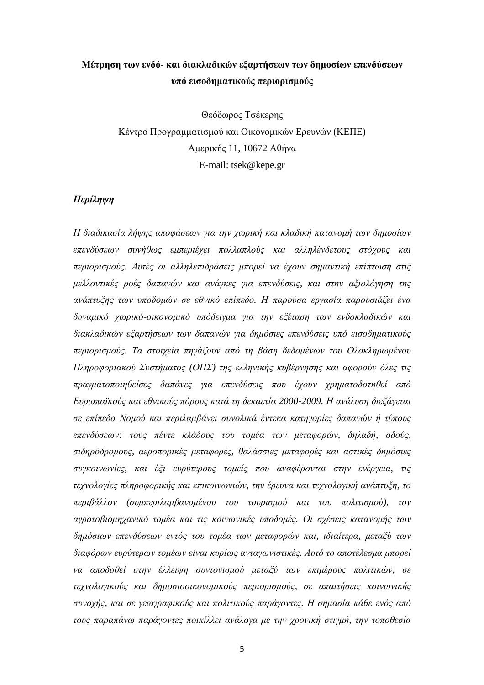## **Μέτρηση των ενδό- και διακλαδικών εξαρτήσεων των δηµοσίων επενδύσεων υπό εισοδηµατικούς περιορισµούς**

Θεόδωρος Τσέκερης Κέντρο Προγραµµατισµού και Οικονοµικών Ερευνών (ΚΕΠΕ) Αµερικής 11, 10672 Αθήνα E-mail: tsek@kepe.gr

#### *Περίληψη*

*Η διαδικασία λήψης αποφάσεων για την χωρική και κλαδική κατανοµή των δηµοσίων επενδύσεων συνήθως εµπεριέχει πολλαπλούς και αλληλένδετους στόχους και περιορισµούς. Αυτές οι αλληλεπιδράσεις µπορεί να έχουν σηµαντική επίπτωση στις µελλοντικές ροές δαπανών και ανάγκες για επενδύσεις, και στην αξιολόγηση της ανάπτυξης των υποδοµών σε εθνικό επίπεδο. Η παρούσα εργασία παρουσιάζει ένα δυναµικό χωρικό-οικονοµικό υπόδειγµα για την εξέταση των ενδοκλαδικών και διακλαδικών εξαρτήσεων των δαπανών για δηµόσιες επενδύσεις υπό εισοδηµατικούς περιορισµούς. Τα στοιχεία πηγάζουν από τη βάση δεδοµένων του Ολοκληρωµένου Πληροφοριακού Συστήµατος (ΟΠΣ) της ελληνικής κυβέρνησης και αφορούν όλες τις πραγµατοποιηθείσες δαπάνες για επενδύσεις που έχουν χρηµατοδοτηθεί από Ευρωπαϊκούς και εθνικούς πόρους κατά τη δεκαετία 2000-2009. Η ανάλυση διεξάγεται σε επίπεδο Νοµού και περιλαµβάνει συνολικά έντεκα κατηγορίες δαπανών ή τύπους επενδύσεων: τους πέντε κλάδους του τοµέα των µεταφορών, δηλαδή, οδούς, σιδηρόδροµους, αεροπορικές µεταφορές, θαλάσσιες µεταφορές και αστικές δηµόσιες συγκοινωνίες, και έξι ευρύτερους τοµείς που αναφέρονται στην ενέργεια, τις τεχνολογίες πληροφορικής και επικοινωνιών, την έρευνα και τεχνολογική ανάπτυξη, το περιβάλλον (συµπεριλαµβανοµένου του τουρισµού και του πολιτισµού), τον αγροτοβιοµηχανικό τοµέα και τις κοινωνικές υποδοµές. Οι σχέσεις κατανοµής των δηµόσιων επενδύσεων εντός του τοµέα των µεταφορών και, ιδιαίτερα, µεταξύ των διαφόρων ευρύτερων τοµέων είναι κυρίως ανταγωνιστικές. Αυτό το αποτέλεσµα µπορεί να αποδοθεί στην έλλειψη συντονισµού µεταξύ των επιµέρους πολιτικών, σε τεχνολογικούς και δηµοσιοοικονοµικούς περιορισµούς, σε απαιτήσεις κοινωνικής συνοχής, και σε γεωγραφικούς και πολιτικούς παράγοντες. Η σηµασία κάθε ενός από τους παραπάνω παράγοντες ποικίλλει ανάλογα µε την χρονική στιγµή, την τοποθεσία*

5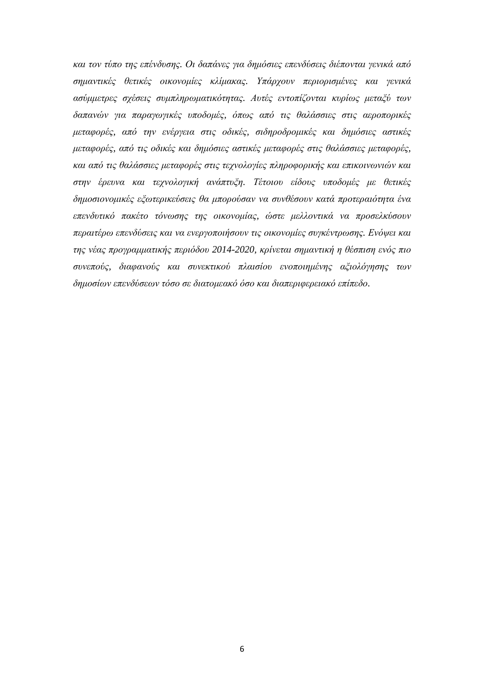*και τον τύπο της επένδυσης. Οι δαπάνες για δηµόσιες επενδύσεις διέπονται γενικά από σηµαντικές θετικές οικονοµίες κλίµακας. Υπάρχουν περιορισµένες και γενικά ασύµµετρες σχέσεις συµπληρωµατικότητας. Αυτές εντοπίζονται κυρίως µεταξύ των δαπανών για παραγωγικές υποδοµές, όπως από τις θαλάσσιες στις αεροπορικές µεταφορές, από την ενέργεια στις οδικές, σιδηροδροµικές και δηµόσιες αστικές µεταφορές, από τις οδικές και δηµόσιες αστικές µεταφορές στις θαλάσσιες µεταφορές, και από τις θαλάσσιες µεταφορές στις τεχνολογίες πληροφορικής και επικοινωνιών και στην έρευνα και τεχνολογική ανάπτυξη. Τέτοιου είδους υποδοµές µε θετικές δηµοσιονοµικές εξωτερικεύσεις θα µπορούσαν να συνθέσουν κατά προτεραιότητα ένα επενδυτικό πακέτο τόνωσης της οικονοµίας, ώστε µελλοντικά να προσελκύσουν περαιτέρω επενδύσεις και να ενεργοποιήσουν τις οικονοµίες συγκέντρωσης. Ενόψει και της νέας προγραµµατικής περιόδου 2014-2020, κρίνεται σηµαντική η θέσπιση ενός πιο συνεπούς, διαφανούς και συνεκτικού πλαισίου ενοποιηµένης αξιολόγησης των δηµοσίων επενδύσεων τόσο σε διατοµεακό όσο και διαπεριφερειακό επίπεδο.*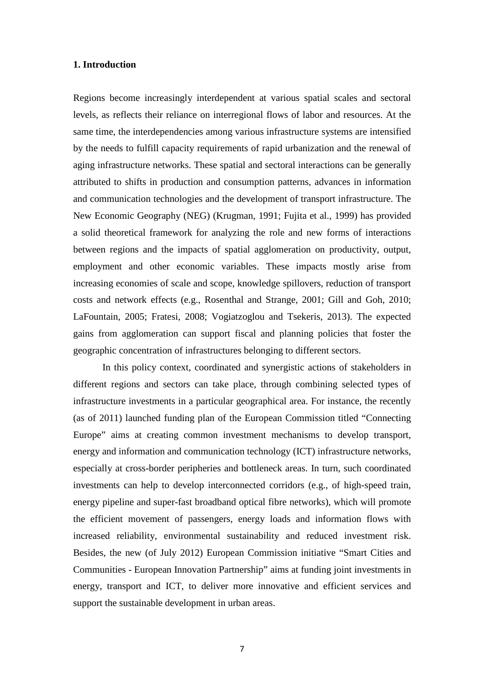#### **1. Introduction**

Regions become increasingly interdependent at various spatial scales and sectoral levels, as reflects their reliance on interregional flows of labor and resources. At the same time, the interdependencies among various infrastructure systems are intensified by the needs to fulfill capacity requirements of rapid urbanization and the renewal of aging infrastructure networks. These spatial and sectoral interactions can be generally attributed to shifts in production and consumption patterns, advances in information and communication technologies and the development of transport infrastructure. The New Economic Geography (NEG) (Krugman, 1991; Fujita et al., 1999) has provided a solid theoretical framework for analyzing the role and new forms of interactions between regions and the impacts of spatial agglomeration on productivity, output, employment and other economic variables. These impacts mostly arise from increasing economies of scale and scope, knowledge spillovers, reduction of transport costs and network effects (e.g., Rosenthal and Strange, 2001; Gill and Goh, 2010; LaFountain, 2005; Fratesi, 2008; Vogiatzoglou and Tsekeris, 2013). The expected gains from agglomeration can support fiscal and planning policies that foster the geographic concentration of infrastructures belonging to different sectors.

In this policy context, coordinated and synergistic actions of stakeholders in different regions and sectors can take place, through combining selected types of infrastructure investments in a particular geographical area. For instance, the recently (as of 2011) launched funding plan of the European Commission titled "Connecting Europe" aims at creating common investment mechanisms to develop transport, energy and information and communication technology (ICT) infrastructure networks, especially at cross-border peripheries and bottleneck areas. In turn, such coordinated investments can help to develop interconnected corridors (e.g., of high-speed train, energy pipeline and super-fast broadband optical fibre networks), which will promote the efficient movement of passengers, energy loads and information flows with increased reliability, environmental sustainability and reduced investment risk. Besides, the new (of July 2012) European Commission initiative "Smart Cities and Communities - European Innovation Partnership" aims at funding joint investments in energy, transport and ICT, to deliver more innovative and efficient services and support the sustainable development in urban areas.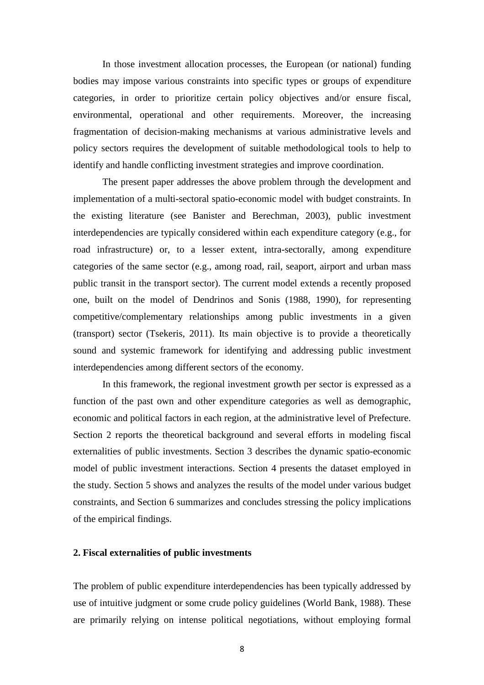In those investment allocation processes, the European (or national) funding bodies may impose various constraints into specific types or groups of expenditure categories, in order to prioritize certain policy objectives and/or ensure fiscal, environmental, operational and other requirements. Moreover, the increasing fragmentation of decision-making mechanisms at various administrative levels and policy sectors requires the development of suitable methodological tools to help to identify and handle conflicting investment strategies and improve coordination.

The present paper addresses the above problem through the development and implementation of a multi-sectoral spatio-economic model with budget constraints. In the existing literature (see Banister and Berechman, 2003), public investment interdependencies are typically considered within each expenditure category (e.g., for road infrastructure) or, to a lesser extent, intra-sectorally, among expenditure categories of the same sector (e.g., among road, rail, seaport, airport and urban mass public transit in the transport sector). The current model extends a recently proposed one, built on the model of Dendrinos and Sonis (1988, 1990), for representing competitive/complementary relationships among public investments in a given (transport) sector (Tsekeris, 2011). Its main objective is to provide a theoretically sound and systemic framework for identifying and addressing public investment interdependencies among different sectors of the economy.

In this framework, the regional investment growth per sector is expressed as a function of the past own and other expenditure categories as well as demographic, economic and political factors in each region, at the administrative level of Prefecture. Section 2 reports the theoretical background and several efforts in modeling fiscal externalities of public investments. Section 3 describes the dynamic spatio-economic model of public investment interactions. Section 4 presents the dataset employed in the study. Section 5 shows and analyzes the results of the model under various budget constraints, and Section 6 summarizes and concludes stressing the policy implications of the empirical findings.

#### **2. Fiscal externalities of public investments**

The problem of public expenditure interdependencies has been typically addressed by use of intuitive judgment or some crude policy guidelines (World Bank, 1988). These are primarily relying on intense political negotiations, without employing formal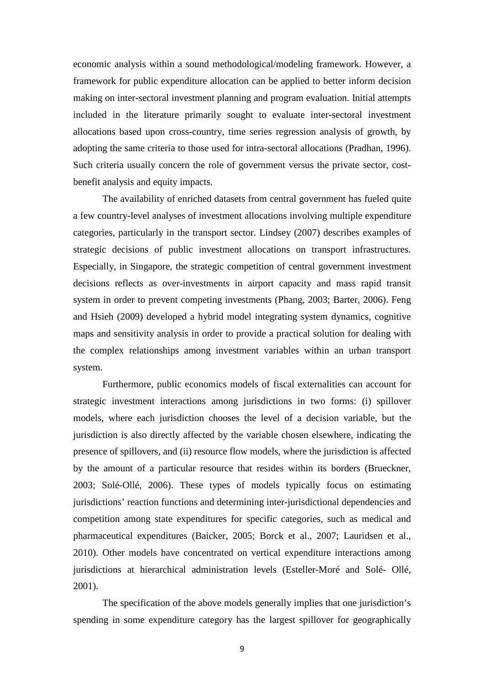economic analysis within a sound methodological/modeling framework. However, a framework for public expenditure allocation can be applied to better inform decision making on inter-sectoral investment planning and program evaluation. Initial attempts included in the literature primarily sought to evaluate inter-sectoral investment allocations based upon cross-country, time series regression analysis of growth, by adopting the same criteria to those used for intra-sectoral allocations (Pradhan, 1996). Such criteria usually concern the role of government versus the private sector, costbenefit analysis and equity impacts.

The availability of enriched datasets from central government has fueled quite a few country-level analyses of investment allocations involving multiple expenditure categories, particularly in the transport sector. Lindsey (2007) describes examples of strategic decisions of public investment allocations on transport infrastructures. Especially, in Singapore, the strategic competition of central government investment decisions reflects as over-investments in airport capacity and mass rapid transit system in order to prevent competing investments (Phang, 2003; Barter, 2006). Feng and Hsieh (2009) developed a hybrid model integrating system dynamics, cognitive maps and sensitivity analysis in order to provide a practical solution for dealing with the complex relationships among investment variables within an urban transport system.

Furthermore, public economics models of fiscal externalities can account for strategic investment interactions among jurisdictions in two forms: (i) spillover models, where each jurisdiction chooses the level of a decision variable, but the jurisdiction is also directly affected by the variable chosen elsewhere, indicating the presence of spillovers, and (ii) resource flow models, where the jurisdiction is affected by the amount of a particular resource that resides within its borders (Brueckner, 2003; Solé-Ollé, 2006). These types of models typically focus on estimating jurisdictions' reaction functions and determining inter-jurisdictional dependencies and competition among state expenditures for specific categories, such as medical and pharmaceutical expenditures (Baicker, 2005; Borck et al., 2007; Lauridsen et al., 2010). Other models have concentrated on vertical expenditure interactions among jurisdictions at hierarchical administration levels (Esteller-Moré and Solé- Ollé, 2001).

The specification of the above models generally implies that one jurisdiction's spending in some expenditure category has the largest spillover for geographically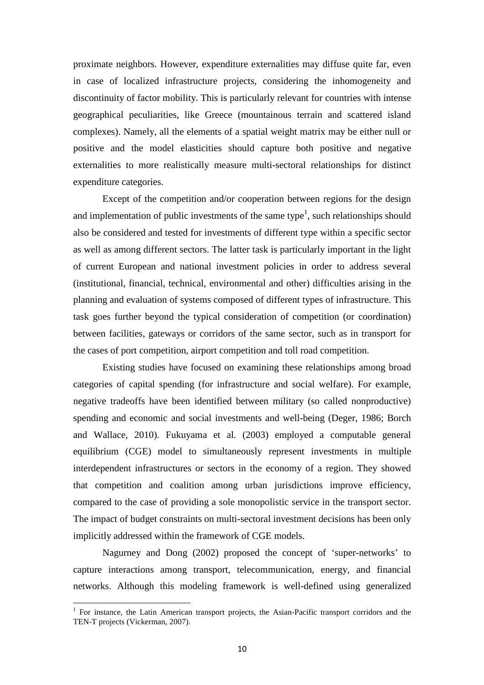proximate neighbors. However, expenditure externalities may diffuse quite far, even in case of localized infrastructure projects, considering the inhomogeneity and discontinuity of factor mobility. This is particularly relevant for countries with intense geographical peculiarities, like Greece (mountainous terrain and scattered island complexes). Namely, all the elements of a spatial weight matrix may be either null or positive and the model elasticities should capture both positive and negative externalities to more realistically measure multi-sectoral relationships for distinct expenditure categories.

Except of the competition and/or cooperation between regions for the design and implementation of public investments of the same type<sup>1</sup>, such relationships should also be considered and tested for investments of different type within a specific sector as well as among different sectors. The latter task is particularly important in the light of current European and national investment policies in order to address several (institutional, financial, technical, environmental and other) difficulties arising in the planning and evaluation of systems composed of different types of infrastructure. This task goes further beyond the typical consideration of competition (or coordination) between facilities, gateways or corridors of the same sector, such as in transport for the cases of port competition, airport competition and toll road competition.

Existing studies have focused on examining these relationships among broad categories of capital spending (for infrastructure and social welfare). For example, negative tradeoffs have been identified between military (so called nonproductive) spending and economic and social investments and well-being (Deger, 1986; Borch and Wallace, 2010). Fukuyama et al. (2003) employed a computable general equilibrium (CGE) model to simultaneously represent investments in multiple interdependent infrastructures or sectors in the economy of a region. They showed that competition and coalition among urban jurisdictions improve efficiency, compared to the case of providing a sole monopolistic service in the transport sector. The impact of budget constraints on multi-sectoral investment decisions has been only implicitly addressed within the framework of CGE models.

Nagurney and Dong (2002) proposed the concept of 'super-networks' to capture interactions among transport, telecommunication, energy, and financial networks. Although this modeling framework is well-defined using generalized

 $\overline{\phantom{0}}$ 

<sup>&</sup>lt;sup>1</sup> For instance, the Latin American transport projects, the Asian-Pacific transport corridors and the TEN-T projects (Vickerman, 2007).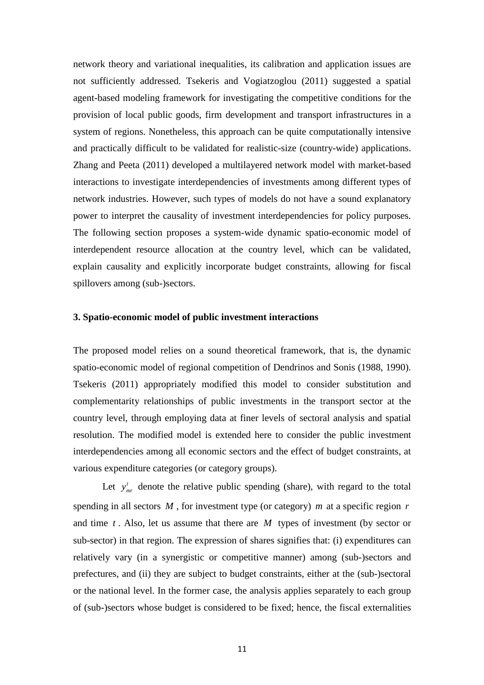network theory and variational inequalities, its calibration and application issues are not sufficiently addressed. Tsekeris and Vogiatzoglou (2011) suggested a spatial agent-based modeling framework for investigating the competitive conditions for the provision of local public goods, firm development and transport infrastructures in a system of regions. Nonetheless, this approach can be quite computationally intensive and practically difficult to be validated for realistic-size (country-wide) applications. Zhang and Peeta (2011) developed a multilayered network model with market-based interactions to investigate interdependencies of investments among different types of network industries. However, such types of models do not have a sound explanatory power to interpret the causality of investment interdependencies for policy purposes. The following section proposes a system-wide dynamic spatio-economic model of interdependent resource allocation at the country level, which can be validated, explain causality and explicitly incorporate budget constraints, allowing for fiscal spillovers among (sub-)sectors.

#### **3. Spatio-economic model of public investment interactions**

The proposed model relies on a sound theoretical framework, that is, the dynamic spatio-economic model of regional competition of Dendrinos and Sonis (1988, 1990). Tsekeris (2011) appropriately modified this model to consider substitution and complementarity relationships of public investments in the transport sector at the country level, through employing data at finer levels of sectoral analysis and spatial resolution. The modified model is extended here to consider the public investment interdependencies among all economic sectors and the effect of budget constraints, at various expenditure categories (or category groups).

Let  $y_{\textit{mr}}^t$  denote the relative public spending (share), with regard to the total spending in all sectors *M* , for investment type (or category) *m* at a specific region *r* and time *t* . Also, let us assume that there are *M* types of investment (by sector or sub-sector) in that region. The expression of shares signifies that: (i) expenditures can relatively vary (in a synergistic or competitive manner) among (sub-)sectors and prefectures, and (ii) they are subject to budget constraints, either at the (sub-)sectoral or the national level. In the former case, the analysis applies separately to each group of (sub-)sectors whose budget is considered to be fixed; hence, the fiscal externalities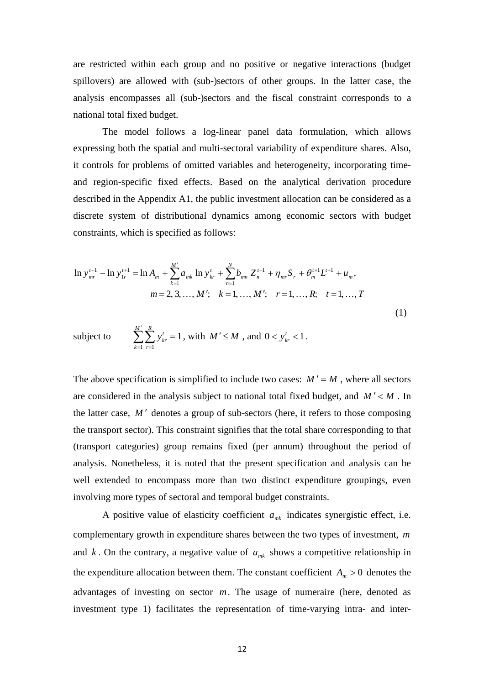are restricted within each group and no positive or negative interactions (budget spillovers) are allowed with (sub-)sectors of other groups. In the latter case, the analysis encompasses all (sub-)sectors and the fiscal constraint corresponds to a national total fixed budget.

The model follows a log-linear panel data formulation, which allows expressing both the spatial and multi-sectoral variability of expenditure shares. Also, it controls for problems of omitted variables and heterogeneity, incorporating timeand region-specific fixed effects. Based on the analytical derivation procedure described in the Appendix A1, the public investment allocation can be considered as a discrete system of distributional dynamics among economic sectors with budget constraints, which is specified as follows:

$$
\ln y_{mr}^{t+1} - \ln y_{1r}^{t+1} = \ln A_m + \sum_{k=1}^{M'} a_{mk} \ln y_{kr}^t + \sum_{n=1}^{N} b_{mn} Z_n^{t+1} + \eta_{mr} S_r + \theta_m^{t+1} L^{t+1} + u_m,
$$
  
\n
$$
m = 2, 3, ..., M'; \quad k = 1, ..., M'; \quad r = 1, ..., R; \quad t = 1, ..., T
$$
  
\nsubject to 
$$
\sum_{k=1}^{M'} \sum_{k=1}^{R} y_{kr}^t = 1, \text{ with } M' \leq M \text{, and } 0 < y_{kr}^t < 1.
$$
\n(1)

 $=1$   $r=$ 

*r*

 $-1$   $r=1$ 

*k*

The above specification is simplified to include two cases:  $M' = M$ , where all sectors are considered in the analysis subject to national total fixed budget, and  $M' < M$ . In the latter case, *M* ′ denotes a group of sub-sectors (here, it refers to those composing the transport sector). This constraint signifies that the total share corresponding to that (transport categories) group remains fixed (per annum) throughout the period of analysis. Nonetheless, it is noted that the present specification and analysis can be well extended to encompass more than two distinct expenditure groupings, even involving more types of sectoral and temporal budget constraints.

A positive value of elasticity coefficient  $a_{mk}$  indicates synergistic effect, i.e. complementary growth in expenditure shares between the two types of investment, *m* and  $k$ . On the contrary, a negative value of  $a_{mk}$  shows a competitive relationship in the expenditure allocation between them. The constant coefficient  $A<sub>m</sub> > 0$  denotes the advantages of investing on sector *m*. The usage of numeraire (here, denoted as investment type 1) facilitates the representation of time-varying intra- and inter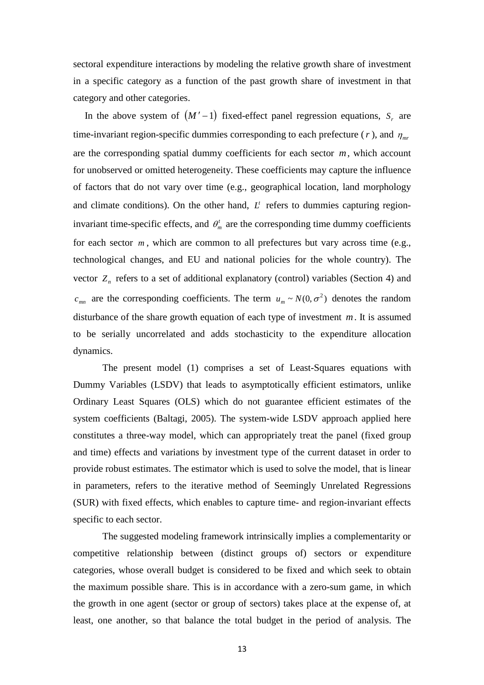sectoral expenditure interactions by modeling the relative growth share of investment in a specific category as a function of the past growth share of investment in that category and other categories.

In the above system of  $(M' - 1)$  fixed-effect panel regression equations,  $S<sub>r</sub>$  are time-invariant region-specific dummies corresponding to each prefecture ( $r$ ), and  $\eta_{mr}$ are the corresponding spatial dummy coefficients for each sector *m*, which account for unobserved or omitted heterogeneity. These coefficients may capture the influence of factors that do not vary over time (e.g., geographical location, land morphology and climate conditions). On the other hand,  $L<sup>t</sup>$  refers to dummies capturing regioninvariant time-specific effects, and  $\theta_m^t$  are the corresponding time dummy coefficients for each sector  $m$ , which are common to all prefectures but vary across time (e.g., technological changes, and EU and national policies for the whole country). The vector  $Z_n$  refers to a set of additional explanatory (control) variables (Section 4) and  $c_{mn}$  are the corresponding coefficients. The term  $u_m \sim N(0, \sigma^2)$  denotes the random disturbance of the share growth equation of each type of investment *m*. It is assumed to be serially uncorrelated and adds stochasticity to the expenditure allocation dynamics.

The present model (1) comprises a set of Least-Squares equations with Dummy Variables (LSDV) that leads to asymptotically efficient estimators, unlike Ordinary Least Squares (OLS) which do not guarantee efficient estimates of the system coefficients (Baltagi, 2005). The system-wide LSDV approach applied here constitutes a three-way model, which can appropriately treat the panel (fixed group and time) effects and variations by investment type of the current dataset in order to provide robust estimates. The estimator which is used to solve the model, that is linear in parameters, refers to the iterative method of Seemingly Unrelated Regressions (SUR) with fixed effects, which enables to capture time- and region-invariant effects specific to each sector.

The suggested modeling framework intrinsically implies a complementarity or competitive relationship between (distinct groups of) sectors or expenditure categories, whose overall budget is considered to be fixed and which seek to obtain the maximum possible share. This is in accordance with a zero-sum game, in which the growth in one agent (sector or group of sectors) takes place at the expense of, at least, one another, so that balance the total budget in the period of analysis. The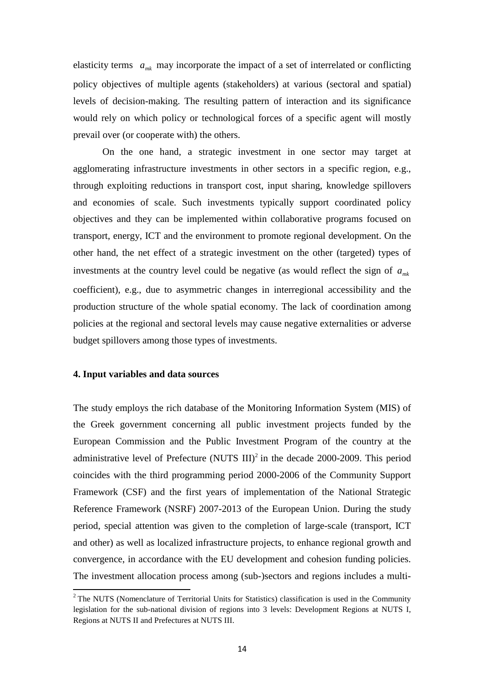elasticity terms  $a_{mk}$  may incorporate the impact of a set of interrelated or conflicting policy objectives of multiple agents (stakeholders) at various (sectoral and spatial) levels of decision-making. The resulting pattern of interaction and its significance would rely on which policy or technological forces of a specific agent will mostly prevail over (or cooperate with) the others.

On the one hand, a strategic investment in one sector may target at agglomerating infrastructure investments in other sectors in a specific region, e.g., through exploiting reductions in transport cost, input sharing, knowledge spillovers and economies of scale. Such investments typically support coordinated policy objectives and they can be implemented within collaborative programs focused on transport, energy, ICT and the environment to promote regional development. On the other hand, the net effect of a strategic investment on the other (targeted) types of investments at the country level could be negative (as would reflect the sign of  $a_{mk}$ coefficient), e.g., due to asymmetric changes in interregional accessibility and the production structure of the whole spatial economy. The lack of coordination among policies at the regional and sectoral levels may cause negative externalities or adverse budget spillovers among those types of investments.

#### **4. Input variables and data sources**

l

The study employs the rich database of the Monitoring Information System (MIS) of the Greek government concerning all public investment projects funded by the European Commission and the Public Investment Program of the country at the administrative level of Prefecture (NUTS  $III$ )<sup>2</sup> in the decade 2000-2009. This period coincides with the third programming period 2000-2006 of the Community Support Framework (CSF) and the first years of implementation of the National Strategic Reference Framework (NSRF) 2007-2013 of the European Union. During the study period, special attention was given to the completion of large-scale (transport, ICT and other) as well as localized infrastructure projects, to enhance regional growth and convergence, in accordance with the EU development and cohesion funding policies. The investment allocation process among (sub-)sectors and regions includes a multi-

<sup>&</sup>lt;sup>2</sup> The NUTS (Nomenclature of Territorial Units for Statistics) classification is used in the Community legislation for the sub-national division of regions into 3 levels: Development Regions at NUTS I, Regions at NUTS II and Prefectures at NUTS III.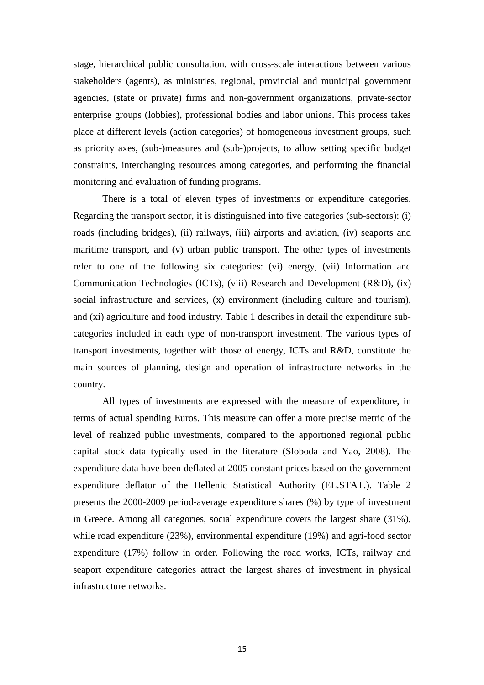stage, hierarchical public consultation, with cross-scale interactions between various stakeholders (agents), as ministries, regional, provincial and municipal government agencies, (state or private) firms and non-government organizations, private-sector enterprise groups (lobbies), professional bodies and labor unions. This process takes place at different levels (action categories) of homogeneous investment groups, such as priority axes, (sub-)measures and (sub-)projects, to allow setting specific budget constraints, interchanging resources among categories, and performing the financial monitoring and evaluation of funding programs.

There is a total of eleven types of investments or expenditure categories. Regarding the transport sector, it is distinguished into five categories (sub-sectors): (i) roads (including bridges), (ii) railways, (iii) airports and aviation, (iv) seaports and maritime transport, and (v) urban public transport. The other types of investments refer to one of the following six categories: (vi) energy, (vii) Information and Communication Technologies (ICTs), (viii) Research and Development (R&D), (ix) social infrastructure and services, (x) environment (including culture and tourism), and (xi) agriculture and food industry. Table 1 describes in detail the expenditure subcategories included in each type of non-transport investment. The various types of transport investments, together with those of energy, ICTs and R&D, constitute the main sources of planning, design and operation of infrastructure networks in the country.

All types of investments are expressed with the measure of expenditure, in terms of actual spending Euros. This measure can offer a more precise metric of the level of realized public investments, compared to the apportioned regional public capital stock data typically used in the literature (Sloboda and Yao, 2008). The expenditure data have been deflated at 2005 constant prices based on the government expenditure deflator of the Hellenic Statistical Authority (EL.STAT.). Table 2 presents the 2000-2009 period-average expenditure shares (%) by type of investment in Greece. Among all categories, social expenditure covers the largest share (31%), while road expenditure (23%), environmental expenditure (19%) and agri-food sector expenditure (17%) follow in order. Following the road works, ICTs, railway and seaport expenditure categories attract the largest shares of investment in physical infrastructure networks.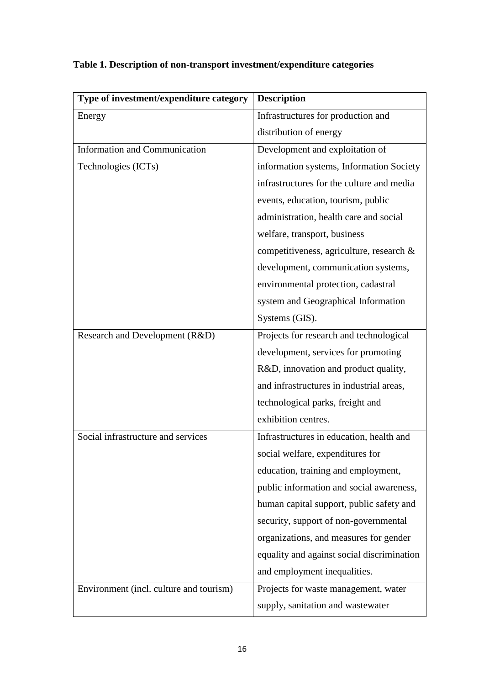| Type of investment/expenditure category | <b>Description</b>                         |
|-----------------------------------------|--------------------------------------------|
| Energy                                  | Infrastructures for production and         |
|                                         | distribution of energy                     |
| <b>Information and Communication</b>    | Development and exploitation of            |
| Technologies (ICTs)                     | information systems, Information Society   |
|                                         | infrastructures for the culture and media  |
|                                         | events, education, tourism, public         |
|                                         | administration, health care and social     |
|                                         | welfare, transport, business               |
|                                         | competitiveness, agriculture, research &   |
|                                         | development, communication systems,        |
|                                         | environmental protection, cadastral        |
|                                         | system and Geographical Information        |
|                                         | Systems (GIS).                             |
| Research and Development (R&D)          | Projects for research and technological    |
|                                         | development, services for promoting        |
|                                         | R&D, innovation and product quality,       |
|                                         | and infrastructures in industrial areas,   |
|                                         | technological parks, freight and           |
|                                         | exhibition centres.                        |
| Social infrastructure and services      | Infrastructures in education, health and   |
|                                         | social welfare, expenditures for           |
|                                         | education, training and employment,        |
|                                         | public information and social awareness,   |
|                                         | human capital support, public safety and   |
|                                         | security, support of non-governmental      |
|                                         | organizations, and measures for gender     |
|                                         | equality and against social discrimination |
|                                         | and employment inequalities.               |
| Environment (incl. culture and tourism) | Projects for waste management, water       |
|                                         | supply, sanitation and wastewater          |

# **Table 1. Description of non-transport investment/expenditure categories**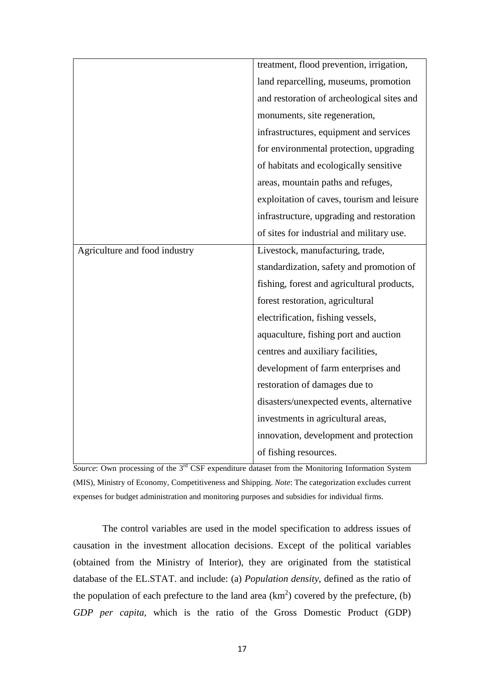|                               | treatment, flood prevention, irrigation,   |
|-------------------------------|--------------------------------------------|
|                               | land reparcelling, museums, promotion      |
|                               | and restoration of archeological sites and |
|                               | monuments, site regeneration,              |
|                               | infrastructures, equipment and services    |
|                               | for environmental protection, upgrading    |
|                               | of habitats and ecologically sensitive     |
|                               | areas, mountain paths and refuges,         |
|                               | exploitation of caves, tourism and leisure |
|                               | infrastructure, upgrading and restoration  |
|                               | of sites for industrial and military use.  |
| Agriculture and food industry | Livestock, manufacturing, trade,           |
|                               | standardization, safety and promotion of   |
|                               | fishing, forest and agricultural products, |
|                               | forest restoration, agricultural           |
|                               | electrification, fishing vessels,          |
|                               | aquaculture, fishing port and auction      |
|                               | centres and auxiliary facilities,          |
|                               | development of farm enterprises and        |
|                               | restoration of damages due to              |
|                               | disasters/unexpected events, alternative   |
|                               | investments in agricultural areas,         |
|                               | innovation, development and protection     |
|                               | of fishing resources.                      |

*Source*: Own processing of the 3<sup>rd</sup> CSF expenditure dataset from the Monitoring Information System (MIS), Ministry of Economy, Competitiveness and Shipping. *Note*: The categorization excludes current expenses for budget administration and monitoring purposes and subsidies for individual firms.

The control variables are used in the model specification to address issues of causation in the investment allocation decisions. Except of the political variables (obtained from the Ministry of Interior), they are originated from the statistical database of the EL.STAT. and include: (a) *Population density*, defined as the ratio of the population of each prefecture to the land area  $(km^2)$  covered by the prefecture, (b) *GDP per capita*, which is the ratio of the Gross Domestic Product (GDP)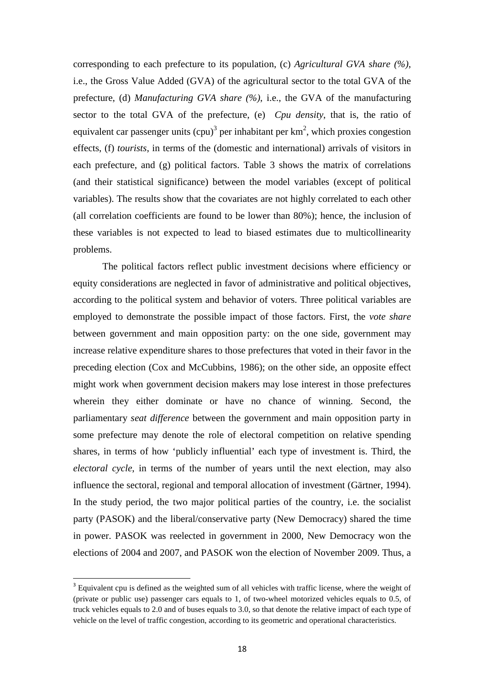corresponding to each prefecture to its population, (c) *Agricultural GVA share (%)*, i.e., the Gross Value Added (GVA) of the agricultural sector to the total GVA of the prefecture, (d) *Manufacturing GVA share (%)*, i.e., the GVA of the manufacturing sector to the total GVA of the prefecture, (e) *Cpu density*, that is, the ratio of equivalent car passenger units  $(cpu)^3$  per inhabitant per km<sup>2</sup>, which proxies congestion effects, (f) *tourists*, in terms of the (domestic and international) arrivals of visitors in each prefecture, and (g) political factors. Table 3 shows the matrix of correlations (and their statistical significance) between the model variables (except of political variables). The results show that the covariates are not highly correlated to each other (all correlation coefficients are found to be lower than 80%); hence, the inclusion of these variables is not expected to lead to biased estimates due to multicollinearity problems.

The political factors reflect public investment decisions where efficiency or equity considerations are neglected in favor of administrative and political objectives, according to the political system and behavior of voters. Three political variables are employed to demonstrate the possible impact of those factors. First, the *vote share* between government and main opposition party: on the one side, government may increase relative expenditure shares to those prefectures that voted in their favor in the preceding election (Cox and McCubbins, 1986); on the other side, an opposite effect might work when government decision makers may lose interest in those prefectures wherein they either dominate or have no chance of winning. Second, the parliamentary *seat difference* between the government and main opposition party in some prefecture may denote the role of electoral competition on relative spending shares, in terms of how 'publicly influential' each type of investment is. Third, the *electoral cycle*, in terms of the number of years until the next election, may also influence the sectoral, regional and temporal allocation of investment (Gärtner, 1994). In the study period, the two major political parties of the country, i.e. the socialist party (PASOK) and the liberal/conservative party (New Democracy) shared the time in power. PASOK was reelected in government in 2000, New Democracy won the elections of 2004 and 2007, and PASOK won the election of November 2009. Thus, a

l

<sup>&</sup>lt;sup>3</sup> Equivalent cpu is defined as the weighted sum of all vehicles with traffic license, where the weight of (private or public use) passenger cars equals to 1, of two-wheel motorized vehicles equals to 0.5, of truck vehicles equals to 2.0 and of buses equals to 3.0, so that denote the relative impact of each type of vehicle on the level of traffic congestion, according to its geometric and operational characteristics.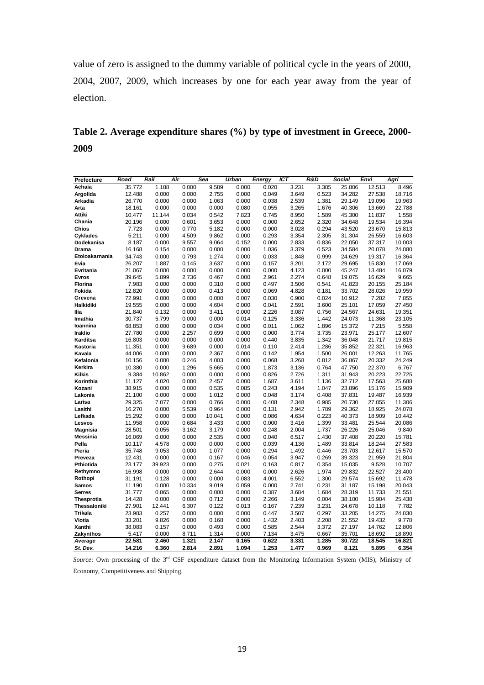value of zero is assigned to the dummy variable of political cycle in the years of 2000, 2004, 2007, 2009, which increases by one for each year away from the year of election.

**Table 2. Average expenditure shares (%) by type of investment in Greece, 2000- 2009** 

| Prefecture                 | Road             | Rail            | Air             | Sea            | Urban          | <b>Energy</b>  | ICT            | R&D            | Social           | Envi             | Agri            |
|----------------------------|------------------|-----------------|-----------------|----------------|----------------|----------------|----------------|----------------|------------------|------------------|-----------------|
| Achaia                     | 35.772           | 1.188           | 0.000           | 9.589          | 0.000          | 0.020          | 3.231          | 3.385          | 25.806           | 12.513           | 8.496           |
| Argolida                   | 12.488           | 0.000           | 0.000           | 2.755          | 0.000          | 0.049          | 3.649          | 0.523          | 34.282           | 27.538           | 18.716          |
| Arkadia                    | 26.770           | 0.000           | 0.000           | 1.063          | 0.000          | 0.038          | 2.539          | 1.381          | 29.149           | 19.096           | 19.963          |
| Arta                       | 18.161           | 0.000           | 0.000           | 0.000          | 0.080          | 0.055          | 3.265          | 1.676          | 40.306           | 13.669           | 22.788          |
| Attiki                     | 10.477           | 11.144          | 0.034           | 0.542          | 7.823          | 0.745          | 8.950          | 1.589          | 45.300           | 11.837           | 1.558           |
| Chania                     | 20.196           | 0.000           | 0.601           | 3.653          | 0.000          | 0.000          | 2.652          | 2.320          | 34.648           | 19.534           | 16.394          |
| Chios                      | 7.723            | 0.000           | 0.770           | 5.182          | 0.000          | 0.000          | 3.028          | 0.294          | 43.520           | 23.670           | 15.813          |
| <b>Cyklades</b>            | 5.211            | 0.000           | 4.509           | 9.862          | 0.000          | 0.293          | 3.354          | 2.305          | 31.304           | 26.559           | 16.603          |
| Dodekanisa                 | 8.187            | 0.000           | 9.557           | 9.064          | 0.152          | 0.000          | 2.833          | 0.836          | 22.050           | 37.317           | 10.003          |
| <b>Drama</b>               | 16.168           | 0.154           | 0.000           | 0.000          | 0.000          | 1.036          | 3.379          | 0.523          | 34.584           | 20.078           | 24.080          |
| Etoloakarnania             | 34.743           | 0.000           | 0.793           | 1.274          | 0.000          | 0.033          | 1.848          | 0.999          | 24.629           | 19.317           | 16.364          |
| Evia                       | 26.207           | 1.887           | 0.145           | 3.637          | 0.000          | 0.157          | 3.201          | 2.172          | 29.695           | 15.830           | 17.069          |
| Evritania                  | 21.067           | 0.000           | 0.000           | 0.000          | 0.000          | 0.000          | 4.123          | 0.000          | 45.247           | 13.484           | 16.079          |
| <b>Evros</b>               | 39.645           | 5.899           | 2.736           | 0.467          | 0.000          | 2.961          | 2.274          | 0.648          | 19.075           | 16.629           | 9.665           |
| Florina                    | 7.983            | 0.000           | 0.000           | 0.310          | 0.000          | 0.497          | 3.506          | 0.541          | 41.823           | 20.155           | 25.184          |
| Fokida                     | 12.820           | 0.000           | 0.000           | 0.413          | 0.000          | 0.069          | 4.828          | 0.181          | 33.702           | 28.026           | 19.959          |
| Grevena                    | 72.991           | 0.000           | 0.000           | 0.000          | 0.007          | 0.030          | 0.900          | 0.024          | 10.912           | 7.282            | 7.855           |
| Halkidiki                  | 19.555           | 0.000           | 0.000           | 4.604          | 0.000          | 0.041          | 2.591          | 3.600          | 25.101           | 17.059           | 27.450          |
| llia                       | 21.840           | 0.132           | 0.000           | 3.411          | 0.000          | 2.226          | 3.087          | 0.756          | 24.567           | 24.631           | 19.351          |
| Imathia                    | 30.737           | 5.799           | 0.000           | 0.000          | 0.014          | 0.125          | 3.336          | 1.442          | 24.073           | 11.368           | 23.105          |
| Ioannina                   | 68.853           | 0.000           | 0.000           | 0.034          | 0.000          | 0.011          | 1.062          | 1.896          | 15.372           | 7.215            | 5.558           |
| <b>Iraklio</b>             | 27.780           | 0.000           | 2.257           | 0.699          | 0.000          | 0.000          | 3.774          | 3.735          | 23.971           | 25.177           | 12.607          |
| Karditsa                   | 16.803           | 0.000           | 0.000           | 0.000          | 0.000          | 0.440          | 3.835          | 1.342          | 36.048           | 21.717           | 19.815          |
| Kastoria                   | 11.351           | 0.000           | 9.689           | 0.000          | 0.014          | 0.110          | 2.414          | 1.286          | 35.852           | 22.321           | 16.963          |
| Kavala                     | 44.006           | 0.000           | 0.000           | 2.367          | 0.000          | 0.142          | 1.954          | 1.500          | 26.001           | 12.263           | 11.765          |
| Kefalonia                  | 10.156           | 0.000           | 0.246           | 4.003          | 0.000          | 0.068          | 3.268          | 0.812          | 36.867           | 20.332           | 24.249          |
| Kerkira                    | 10.380           | 0.000           | 1.296           | 5.665          | 0.000          | 1.873          | 3.136          | 0.764          | 47.750           | 22.370           | 6.767           |
| <b>Kilkis</b>              | 9.384            | 10.862          | 0.000           | 0.000          | 0.000          | 0.826          | 2.726          | 1.311          | 31.943           | 20.223           | 22.725          |
| Korinthia                  | 11.127           | 4.020           | 0.000           | 2.457          | 0.000          | 1.687          | 3.611          | 1.136          | 32.712           | 17.563           | 25.688          |
| Kozani                     | 38.915           | 0.000           | 0.000           | 0.535          | 0.085          | 0.243          | 4.194          | 1.047          | 23.896           | 15.176           | 15.909          |
| Lakonia                    | 21.100           | 0.000           | 0.000           | 1.012          | 0.000          | 0.048          | 3.174          | 0.408          | 37.831           | 19.487           | 16.939          |
| Larisa                     | 29.325           | 7.077           | 0.000           | 0.766          | 0.000          | 0.408          | 2.348          | 0.985          | 20.730           | 27.055           | 11.306          |
| Lasithi                    | 16.270           | 0.000           | 5.539           | 0.964          | 0.000          | 0.131          | 2.942          | 1.789          | 29.362           | 18.925           | 24.078          |
| Lefkada                    | 15.292           | 0.000           | 0.000           | 10.041         | 0.000          | 0.086          | 4.634          | 0.223          | 40.373           | 18.909           | 10.442          |
| Lesvos                     | 11.958           | 0.000           | 0.684           | 3.433          | 0.000          | 0.000          | 3.416          | 1.399          | 33.481           | 25.544           | 20.086          |
| <b>Magnisia</b>            | 28.501           | 0.055           | 3.162           | 3.179          | 0.000          | 0.248          | 2.004          | 1.737          | 26.226           | 25.046           | 9.840           |
| Messinia                   | 16.069           | 0.000           | 0.000           | 2.535          | 0.000          | 0.040          | 6.517          | 1.430          | 37.408           | 20.220           | 15.781          |
| Pella                      | 10.117           | 4.578           | 0.000           | 0.000          | 0.000          | 0.039          | 4.136          | 1.489          | 33.814           | 18.244           | 27.583          |
| Pieria                     | 35.748           | 9.053           | 0.000           | 1.077          | 0.000          | 0.294          | 1.492          | 0.446          | 23.703           | 12.617           | 15.570          |
| Preveza                    | 12.431           | 0.000           | 0.000           | 0.167          | 0.046          | 0.054          | 3.947          | 0.269          | 39.323           | 21.959           | 21.804          |
| Pthiotida                  | 23.177           | 39.923          | 0.000           | 0.275          | 0.021          | 0.163          | 0.817          | 0.354          | 15.035           | 9.528            | 10.707          |
| Rethymno                   | 16.998           | 0.000           | 0.000           | 2.644          | 0.000          | 0.000          | 2.626          | 1.974          | 29.832           | 22.527           | 23.400          |
| Rothopi                    | 31.191<br>11.190 | 0.128           | 0.000<br>10.334 | 0.000<br>9.019 | 0.083          | 4.001          | 6.552<br>2.741 | 1.300<br>0.231 | 29.574<br>31.187 | 15.692<br>15.198 | 11.478          |
| Samos                      |                  | 0.000           |                 |                | 0.059          | 0.000          |                |                |                  |                  | 20.043          |
| <b>Serres</b>              | 31.777           | 0.865           | 0.000           | 0.000          | 0.000          | 0.387          | 3.684          | 1.684          | 28.319<br>38.100 | 11.733<br>15.904 | 21.551          |
| Thesprotia<br>Thessaloniki | 14.428<br>27.901 | 0.000<br>12.441 | 0.000<br>6.307  | 0.712<br>0.122 | 0.000<br>0.013 | 2.266<br>0.167 | 3.149<br>7.239 | 0.004<br>3.231 | 24.678           | 10.118           | 25.438<br>7.782 |
|                            |                  |                 |                 |                |                |                |                |                |                  |                  |                 |
| Trikala                    | 23.983<br>33.201 | 0.257<br>9.826  | 0.000<br>0.000  | 0.000<br>0.168 | 0.000<br>0.000 | 0.447<br>1.432 | 3.507<br>2.403 | 0.297<br>2.208 | 33.205<br>21.552 | 14.275<br>19.432 | 24.030<br>9.778 |
| Viotia<br>Xanthi           | 38.083           | 0.157           | 0.000           | 0.493          | 0.000          | 0.585          | 2.544          | 3.372          | 27.197           | 14.762           | 12.806          |
| Zakynthos                  | 5.417            | 0.000           | 8.711           | 1.314          | 0.000          | 7.134          | 3.475          | 0.667          | 35.701           | 18.692           | 18.890          |
| Average                    | 22.581           | 2.460           | 1.321           | 2.147          | 0.165          | 0.622          | 3.331          | 1.285          | 30.722           | 18.545           | 16.821          |
| St. Dev.                   | 14.216           | 6.360           | 2.814           | 2.891          | 1.094          | 1.253          | 1.477          | 0.969          | 8.121            | 5.895            | 6.354           |

*Source*: Own processing of the 3rd CSF expenditure dataset from the Monitoring Information System (MIS), Ministry of Economy, Competitiveness and Shipping.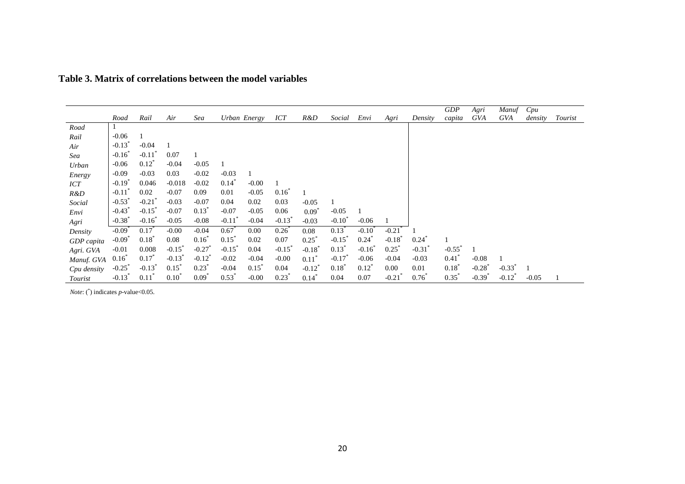|             |                      |                      |                      |                      |                      |                  |                      |                   |                      |                   |                      |                | GDP              | Agri                 | Manuf                | Cpu     |         |
|-------------|----------------------|----------------------|----------------------|----------------------|----------------------|------------------|----------------------|-------------------|----------------------|-------------------|----------------------|----------------|------------------|----------------------|----------------------|---------|---------|
|             | Road                 | Rail                 | Air                  | Sea                  |                      | Urban Energy     | <b>ICT</b>           | R&D               | Social               | Envi              | Agri                 | Density        | capita           | GVA                  | GVA                  | density | Tourist |
| Road        |                      |                      |                      |                      |                      |                  |                      |                   |                      |                   |                      |                |                  |                      |                      |         |         |
| Rail        | $-0.06$              |                      |                      |                      |                      |                  |                      |                   |                      |                   |                      |                |                  |                      |                      |         |         |
| Air         | $-0.13$ <sup>*</sup> | $-0.04$              |                      |                      |                      |                  |                      |                   |                      |                   |                      |                |                  |                      |                      |         |         |
| Sea         | $-0.16$ <sup>*</sup> | $-0.11$              | 0.07                 |                      |                      |                  |                      |                   |                      |                   |                      |                |                  |                      |                      |         |         |
| Urban       | $-0.06$              | $0.12^{\degree}$     | $-0.04$              | $-0.05$              |                      |                  |                      |                   |                      |                   |                      |                |                  |                      |                      |         |         |
| Energy      | $-0.09$              | $-0.03$              | 0.03                 | $-0.02$              | $-0.03$              | 1                |                      |                   |                      |                   |                      |                |                  |                      |                      |         |         |
| <b>ICT</b>  | $-0.19^{*}$          | 0.046                | $-0.018$             | $-0.02$              | $0.14^*$             | $-0.00$          |                      |                   |                      |                   |                      |                |                  |                      |                      |         |         |
| R&D         | $-0.11$              | 0.02                 | $-0.07$              | 0.09                 | 0.01                 | $-0.05$          | $0.16^{^{n}}$        |                   |                      |                   |                      |                |                  |                      |                      |         |         |
| Social      | $-0.53$ <sup>*</sup> | $-0.21$              | $-0.03$              | $-0.07$              | 0.04                 | 0.02             | 0.03                 | $-0.05$           |                      |                   |                      |                |                  |                      |                      |         |         |
| Envi        | $-0.43$              | $-0.15^{\degree}$    | $-0.07$              | $0.13^{\degree}$     | $-0.07$              | $-0.05$          | 0.06                 | $0.09^{\degree}$  | $-0.05$              |                   |                      |                |                  |                      |                      |         |         |
| Agri        | $-0.38$              | $-0.16^{\circ}$      | $-0.05$              | $-0.08$              | $-0.11$ <sup>*</sup> | $-0.04$          | $-0.13$ <sup>*</sup> | $-0.03$           | $-0.10^{\circ}$      | $-0.06$           |                      |                |                  |                      |                      |         |         |
| Density     | $-0.09$ <sup>*</sup> | $0.17^{^{\circ}}$    | $-0.00$              | $-0.04$              | $0.67^{\degree}$     | 0.00             | $0.26^{^{\circ}}$    | 0.08              | $0.13^{\degree}$     | $-0.10^{\degree}$ | $-0.21$              |                |                  |                      |                      |         |         |
| GDP capita  | $-0.09^{\circ}$      | $0.18^*$             | 0.08                 | $0.16^*$             | $0.15^{\circ}$       | 0.02             | 0.07                 | $0.25^*$          | $-0.15^{\circ}$      | $0.24^{\degree}$  | $-0.18$ <sup>*</sup> | $0.24^{\circ}$ |                  |                      |                      |         |         |
| Agri. GVA   | $-0.01$              | 0.008                | $-0.15$ <sup>*</sup> | $-0.27$ <sup>*</sup> | $-0.15^*$            | 0.04             | $-0.15$ <sup>*</sup> | $-0.18^{\degree}$ | $0.13^*$             | $-0.16^{\circ}$   | $0.25^*$             | $-0.31$        | $-0.55^{\circ}$  |                      |                      |         |         |
| Manuf. GVA  | $0.16^{\circ}$       | 0.17                 | $-0.13$ <sup>*</sup> | $-0.12$ <sup>*</sup> | $-0.02$              | $-0.04$          | $-0.00$              | $0.11^*$          | $-0.17$ <sup>*</sup> | $-0.06$           | $-0.04$              | $-0.03$        | $0.41^*$         | $-0.08$              |                      |         |         |
| Cpu density | $-0.25^{\degree}$    | $-0.13$ <sup>*</sup> | $0.15^{\degree}$     | $0.23^{\degree}$     | $-0.04$              | $0.15^{\degree}$ | 0.04                 | $-0.12^{\degree}$ | $0.18^{\degree}$     | $0.12^{\degree}$  | 0.00                 | 0.01           | $0.18^{r}$       | $-0.28$ <sup>*</sup> | $-0.33$ <sup>*</sup> |         |         |
| Tourist     | $-0.13$ <sup>*</sup> | 0.11                 | $0.10^{r}$           | $0.09^{n}$           | $0.53^{r}$           | $-0.00$          | $0.23^{\degree}$     | $0.14^{\degree}$  | 0.04                 | 0.07              | $-0.21$              | 0.76           | $0.35^{\degree}$ | $-0.39^{r}$          | $-0.12^{\degree}$    | $-0.05$ |         |

## **Table 3. Matrix of correlations between the model variables**

 *Note*: (\*) indicates *p*-value<0.05.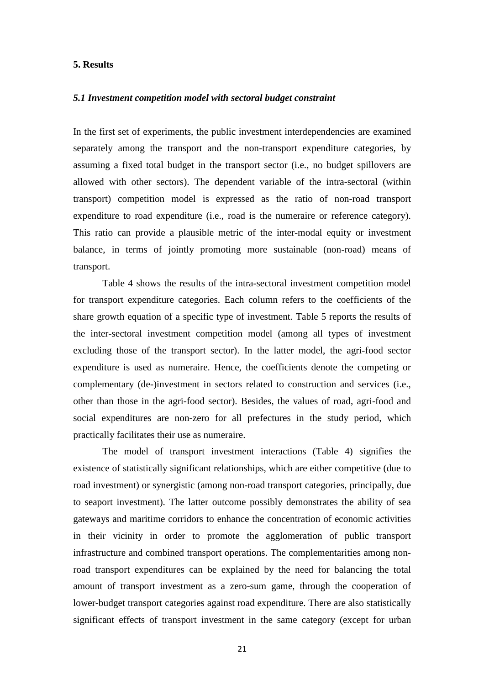#### **5. Results**

#### *5.1 Investment competition model with sectoral budget constraint*

In the first set of experiments, the public investment interdependencies are examined separately among the transport and the non-transport expenditure categories, by assuming a fixed total budget in the transport sector (i.e., no budget spillovers are allowed with other sectors). The dependent variable of the intra-sectoral (within transport) competition model is expressed as the ratio of non-road transport expenditure to road expenditure (i.e., road is the numeraire or reference category). This ratio can provide a plausible metric of the inter-modal equity or investment balance, in terms of jointly promoting more sustainable (non-road) means of transport.

Table 4 shows the results of the intra-sectoral investment competition model for transport expenditure categories. Each column refers to the coefficients of the share growth equation of a specific type of investment. Table 5 reports the results of the inter-sectoral investment competition model (among all types of investment excluding those of the transport sector). In the latter model, the agri-food sector expenditure is used as numeraire. Hence, the coefficients denote the competing or complementary (de-)investment in sectors related to construction and services (i.e., other than those in the agri-food sector). Besides, the values of road, agri-food and social expenditures are non-zero for all prefectures in the study period, which practically facilitates their use as numeraire.

The model of transport investment interactions (Table 4) signifies the existence of statistically significant relationships, which are either competitive (due to road investment) or synergistic (among non-road transport categories, principally, due to seaport investment). The latter outcome possibly demonstrates the ability of sea gateways and maritime corridors to enhance the concentration of economic activities in their vicinity in order to promote the agglomeration of public transport infrastructure and combined transport operations. The complementarities among nonroad transport expenditures can be explained by the need for balancing the total amount of transport investment as a zero-sum game, through the cooperation of lower-budget transport categories against road expenditure. There are also statistically significant effects of transport investment in the same category (except for urban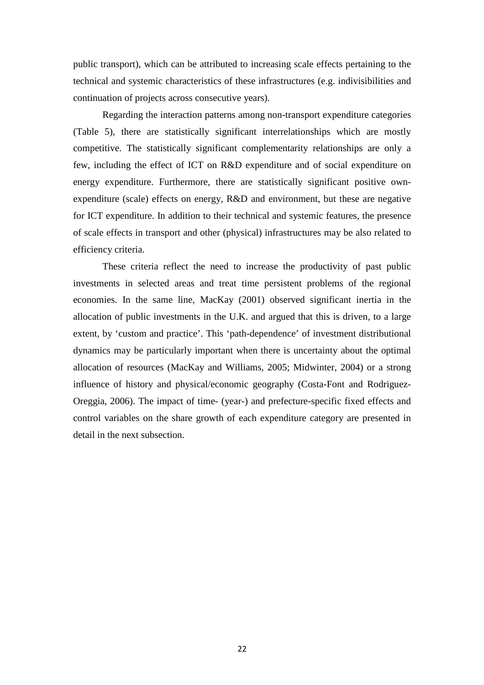public transport), which can be attributed to increasing scale effects pertaining to the technical and systemic characteristics of these infrastructures (e.g. indivisibilities and continuation of projects across consecutive years).

Regarding the interaction patterns among non-transport expenditure categories (Table 5), there are statistically significant interrelationships which are mostly competitive. The statistically significant complementarity relationships are only a few, including the effect of ICT on R&D expenditure and of social expenditure on energy expenditure. Furthermore, there are statistically significant positive ownexpenditure (scale) effects on energy, R&D and environment, but these are negative for ICT expenditure. In addition to their technical and systemic features, the presence of scale effects in transport and other (physical) infrastructures may be also related to efficiency criteria.

These criteria reflect the need to increase the productivity of past public investments in selected areas and treat time persistent problems of the regional economies. In the same line, MacKay (2001) observed significant inertia in the allocation of public investments in the U.K. and argued that this is driven, to a large extent, by 'custom and practice'. This 'path-dependence' of investment distributional dynamics may be particularly important when there is uncertainty about the optimal allocation of resources (MacKay and Williams, 2005; Midwinter, 2004) or a strong influence of history and physical/economic geography (Costa-Font and Rodriguez-Oreggia, 2006). The impact of time- (year-) and prefecture-specific fixed effects and control variables on the share growth of each expenditure category are presented in detail in the next subsection.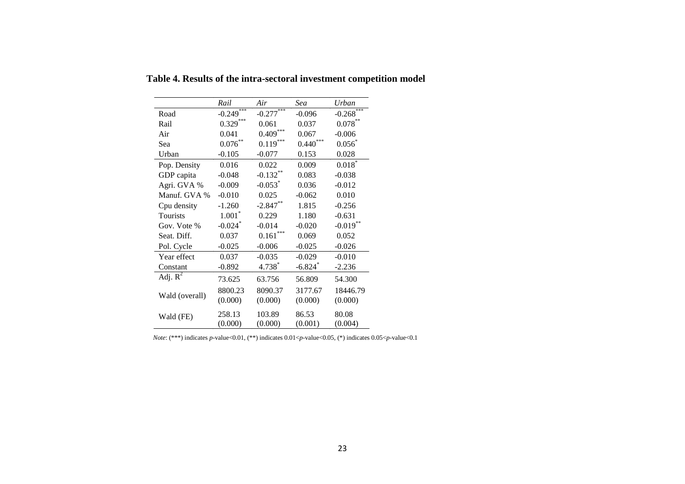|                       | Rail                    | Air                   | Sea        | Urban                   |
|-----------------------|-------------------------|-----------------------|------------|-------------------------|
| Road                  | $-0.249$ <sup>***</sup> | $-0.277***$           | $-0.096$   | $-0.268$ <sup>***</sup> |
| Rail                  | $0.329***$              | 0.061                 | 0.037      | $0.078***$              |
| Air                   | 0.041                   | $0.409***$            | 0.067      | $-0.006$                |
| Sea                   | $0.076***$              | $0.119***$            | $0.440***$ | $0.056^{*}$             |
| Urban                 | $-0.105$                | $-0.077$              | 0.153      | 0.028                   |
| Pop. Density          | 0.016                   | 0.022                 | 0.009      | $0.018*$                |
| GDP capita            | $-0.048$                | $-0.132***$           | 0.083      | $-0.038$                |
| Agri. GVA %           | $-0.009$                | $-0.053$ <sup>*</sup> | 0.036      | $-0.012$                |
| Manuf. GVA %          | $-0.010$                | 0.025                 | $-0.062$   | 0.010                   |
| Cpu density           | $-1.260$                | $-2.847**$            | 1.815      | $-0.256$                |
| Tourists              | $1.001*$                | 0.229                 | 1.180      | $-0.631$                |
| Gov. Vote %           | $-0.024$ <sup>*</sup>   | $-0.014$              | $-0.020$   | $-0.019$                |
| Seat. Diff.           | 0.037                   | $0.161***$            | 0.069      | 0.052                   |
| Pol. Cycle            | $-0.025$                | $-0.006$              | $-0.025$   | $-0.026$                |
| Year effect           | 0.037                   | $-0.035$              | $-0.029$   | $-0.010$                |
| Constant              | $-0.892$                | $4.738*$              | $-6.824$   | $-2.236$                |
| Adj. $\overline{R^2}$ | 73.625                  | 63.756                | 56.809     | 54.300                  |
|                       | 8800.23                 | 8090.37               | 3177.67    | 18446.79                |
| Wald (overall)        | (0.000)                 | (0.000)               | (0.000)    | (0.000)                 |
| Wald (FE)             | 258.13                  | 103.89                | 86.53      | 80.08                   |
|                       | (0.000)                 | (0.000)               | (0.001)    | (0.004)                 |

**Table 4. Results of the intra-sectoral investment competition model** 

*Note*: (\*\*\*) indicates *p*-value<0.01, (\*\*) indicates 0.01<*p*-value<0.05, (\*) indicates 0.05<*p*-value<0.1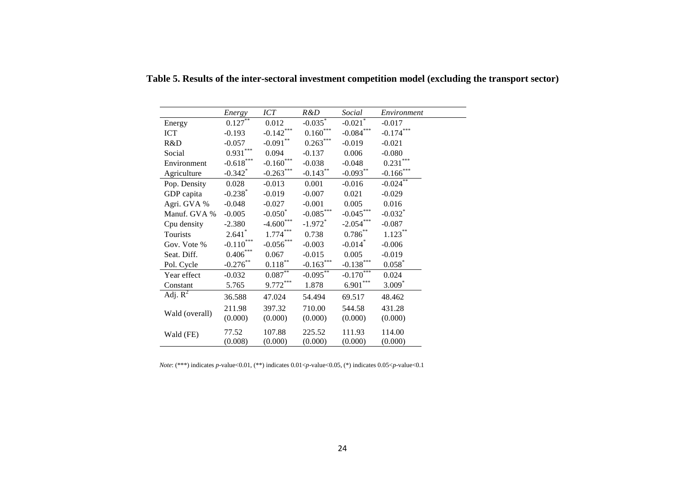|                       | Energy                           | <b>ICT</b>                       | R&D                   | Social                  | Environment            |
|-----------------------|----------------------------------|----------------------------------|-----------------------|-------------------------|------------------------|
| Energy                | 0.127                            | 0.012                            | $-0.035$ <sup>*</sup> | $-0.021$ <sup>*</sup>   | $-0.017$               |
| <b>ICT</b>            | $-0.193$                         | $-0.142***$                      | $0.160^\mathrm{***}$  | $\textbf{-0.084}^{***}$ | $-0.174***$            |
| R&D                   | $-0.057$                         | $-0.091***$                      | $0.263***$            | $-0.019$                | $-0.021$               |
| Social                | $0.931***$                       | 0.094                            | $-0.137$              | 0.006                   | $-0.080$               |
| Environment           | $\textbf{-0.618}^{\ast\ast\ast}$ | $\textbf{-0.160}^{\ast\ast\ast}$ | $-0.038$              | $-0.048$                | $0.231^{\ast\ast\ast}$ |
| Agriculture           | $-0.342$ <sup>*</sup>            | $-0.263***$                      | $-0.143***$           | $-0.093**$              | $-0.166$ ***           |
| Pop. Density          | 0.028                            | $-0.013$                         | 0.001                 | $-0.016$                | $-0.024$ **            |
| GDP capita            | $-0.238$ <sup>*</sup>            | $-0.019$                         | $-0.007$              | 0.021                   | $-0.029$               |
| Agri. GVA %           | $-0.048$                         | $-0.027$                         | $-0.001$              | 0.005                   | 0.016                  |
| Manuf. GVA %          | $-0.005$                         | $-0.050$ <sup>*</sup>            | $-0.085***$           | $-0.045***$             | $-0.032$ <sup>*</sup>  |
| Cpu density           | $-2.380$                         | $-4.600***$                      | $-1.972$ <sup>*</sup> | $-2.054***$             | $-0.087$               |
| Tourists              | $2.641*$                         | $1.774\sp{*}{\ast}{\ast}$        | 0.738                 | $0.786^{\ast\ast}$      | $1.123\sp{*}$          |
| Gov. Vote %           | $\text{-}0.110^{***}$            | $\textbf{-0.056}^{\ast\ast\ast}$ | $-0.003$              | $-0.014$ <sup>*</sup>   | $-0.006$               |
| Seat. Diff.           | $0.406\sp{*}^{***}$              | 0.067                            | $-0.015$              | 0.005                   | $-0.019$               |
| Pol. Cycle            | $-0.276$ **                      | $0.118^{\ast\ast}$               | $-0.163$ ***          | $-0.138***$             | $0.058*$               |
| Year effect           | $-0.032$                         | $0.087^{**}$                     | $-0.095^{**}$         | $-0.170***$             | 0.024                  |
| Constant              | 5.765                            | $9.772***$                       | 1.878                 | $\underline{6.901}$ *** | $3.009*$               |
| Adj. $\overline{R}^2$ | 36.588                           | 47.024                           | 54.494                | 69.517                  | 48.462                 |
|                       | 211.98                           | 397.32                           | 710.00                | 544.58                  | 431.28                 |
| Wald (overall)        | (0.000)                          | (0.000)                          | (0.000)               | (0.000)                 | (0.000)                |
| Wald (FE)             | 77.52                            | 107.88                           | 225.52                | 111.93                  | 114.00                 |
|                       | (0.008)                          | (0.000)                          | (0.000)               | (0.000)                 | (0.000)                |

**Table 5. Results of the inter-sectoral investment competition model (excluding the transport sector)** 

 *Note*: (\*\*\*) indicates *p*-value<0.01, (\*\*) indicates 0.01<*p*-value<0.05, (\*) indicates 0.05<*p*-value<0.1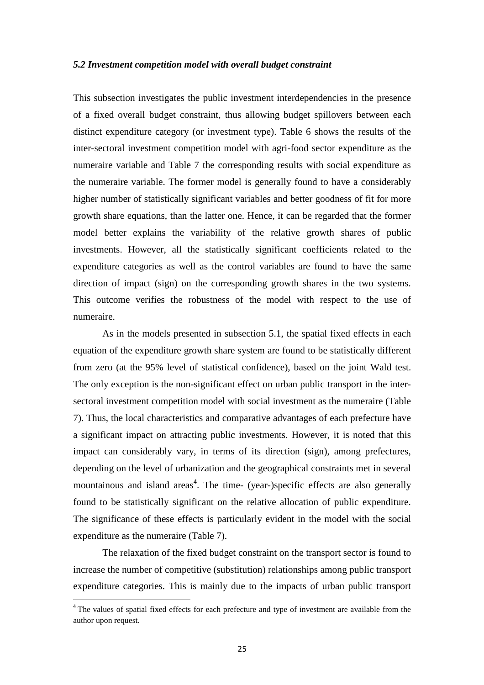#### *5.2 Investment competition model with overall budget constraint*

This subsection investigates the public investment interdependencies in the presence of a fixed overall budget constraint, thus allowing budget spillovers between each distinct expenditure category (or investment type). Table 6 shows the results of the inter-sectoral investment competition model with agri-food sector expenditure as the numeraire variable and Table 7 the corresponding results with social expenditure as the numeraire variable. The former model is generally found to have a considerably higher number of statistically significant variables and better goodness of fit for more growth share equations, than the latter one. Hence, it can be regarded that the former model better explains the variability of the relative growth shares of public investments. However, all the statistically significant coefficients related to the expenditure categories as well as the control variables are found to have the same direction of impact (sign) on the corresponding growth shares in the two systems. This outcome verifies the robustness of the model with respect to the use of numeraire.

As in the models presented in subsection 5.1, the spatial fixed effects in each equation of the expenditure growth share system are found to be statistically different from zero (at the 95% level of statistical confidence), based on the joint Wald test. The only exception is the non-significant effect on urban public transport in the intersectoral investment competition model with social investment as the numeraire (Table 7). Thus, the local characteristics and comparative advantages of each prefecture have a significant impact on attracting public investments. However, it is noted that this impact can considerably vary, in terms of its direction (sign), among prefectures, depending on the level of urbanization and the geographical constraints met in several mountainous and island areas<sup>4</sup>. The time- (year-)specific effects are also generally found to be statistically significant on the relative allocation of public expenditure. The significance of these effects is particularly evident in the model with the social expenditure as the numeraire (Table 7).

The relaxation of the fixed budget constraint on the transport sector is found to increase the number of competitive (substitution) relationships among public transport expenditure categories. This is mainly due to the impacts of urban public transport

 $\overline{\phantom{0}}$ 

<sup>&</sup>lt;sup>4</sup> The values of spatial fixed effects for each prefecture and type of investment are available from the author upon request.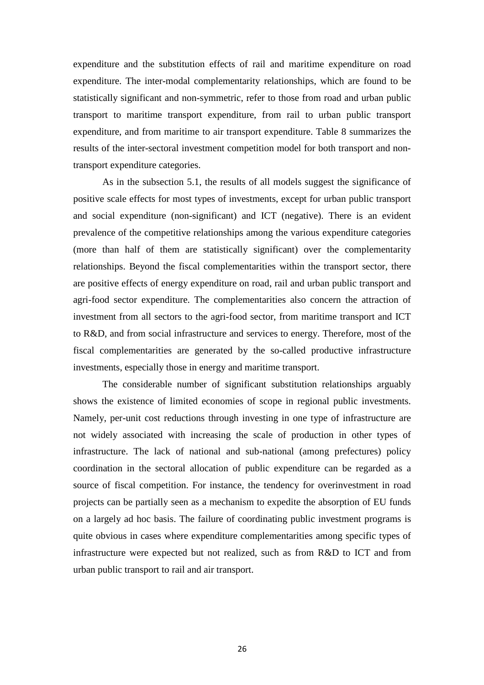expenditure and the substitution effects of rail and maritime expenditure on road expenditure. The inter-modal complementarity relationships, which are found to be statistically significant and non-symmetric, refer to those from road and urban public transport to maritime transport expenditure, from rail to urban public transport expenditure, and from maritime to air transport expenditure. Table 8 summarizes the results of the inter-sectoral investment competition model for both transport and nontransport expenditure categories.

As in the subsection 5.1, the results of all models suggest the significance of positive scale effects for most types of investments, except for urban public transport and social expenditure (non-significant) and ICT (negative). There is an evident prevalence of the competitive relationships among the various expenditure categories (more than half of them are statistically significant) over the complementarity relationships. Beyond the fiscal complementarities within the transport sector, there are positive effects of energy expenditure on road, rail and urban public transport and agri-food sector expenditure. The complementarities also concern the attraction of investment from all sectors to the agri-food sector, from maritime transport and ICT to R&D, and from social infrastructure and services to energy. Therefore, most of the fiscal complementarities are generated by the so-called productive infrastructure investments, especially those in energy and maritime transport.

The considerable number of significant substitution relationships arguably shows the existence of limited economies of scope in regional public investments. Namely, per-unit cost reductions through investing in one type of infrastructure are not widely associated with increasing the scale of production in other types of infrastructure. The lack of national and sub-national (among prefectures) policy coordination in the sectoral allocation of public expenditure can be regarded as a source of fiscal competition. For instance, the tendency for overinvestment in road projects can be partially seen as a mechanism to expedite the absorption of EU funds on a largely ad hoc basis. The failure of coordinating public investment programs is quite obvious in cases where expenditure complementarities among specific types of infrastructure were expected but not realized, such as from R&D to ICT and from urban public transport to rail and air transport.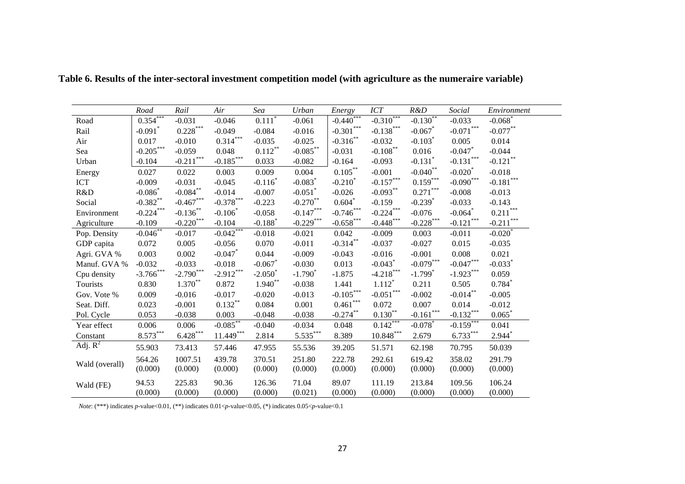|                | Road                  | Rail         | Air                   | Sea                   | Urban                        | Energy                | ICT                       | R&D                   | Social                | Environment            |
|----------------|-----------------------|--------------|-----------------------|-----------------------|------------------------------|-----------------------|---------------------------|-----------------------|-----------------------|------------------------|
| Road           | $0.354***$            | $-0.031$     | $-0.046$              | $0.111*$              | $-0.061$                     | $-0.440$ <sup>*</sup> | $-0.3\overline{10}^{***}$ | $-0.130^{**}$         | $-0.033$              | $-0.068$ <sup>*</sup>  |
| Rail           | $-0.091$ <sup>*</sup> | $0.228***$   | $-0.049$              | $-0.084$              | $-0.016$                     | $-0.301***$           | $-0.138***$               | $-0.067$ <sup>*</sup> | $-0.071***$           | $-0.077***$            |
| Air            | 0.017                 | $-0.010$     | $0.314***$            | $-0.035$              | $-0.025$                     | $-0.316***$           | $-0.032$                  | $-0.103$ <sup>*</sup> | 0.005                 | 0.014                  |
| Sea            | $-0.205***$           | $-0.059$     | 0.048                 | $0.112***$            | $\textbf{-0.085}^{\ast\ast}$ | $-0.031$              | $-0.108***$               | 0.016                 | $-0.047$ *            | $-0.044$               |
| Urban          | $-0.104$              | $-0.211***$  | $-0.185***$           | 0.033                 | $-0.082$                     | $-0.164$              | $-0.093$                  | $-0.131$ <sup>*</sup> | $-0.131***$           | $-0.121$ <sup>**</sup> |
| Energy         | 0.027                 | 0.022        | 0.003                 | 0.009                 | 0.004                        | $0.105***$            | $-0.001$                  | $-0.040$ **           | $-0.020$ <sup>*</sup> | $-0.018$               |
| <b>ICT</b>     | $-0.009$              | $-0.031$     | $-0.045$              | $-0.116$ <sup>*</sup> | $-0.083$ <sup>*</sup>        | $-0.210$ <sup>*</sup> | $-0.157***$               | $0.159***$            | $-0.090***$           | $-0.181***$            |
| R&D            | $-0.086$ <sup>*</sup> | $-0.084***$  | $-0.014$              | $-0.007$              | $-0.051$ <sup>*</sup>        | $-0.026$              | $-0.093***$               | $0.271***$            | $-0.008$              | $-0.013$               |
| Social         | $-0.382**$            | $-0.467***$  | $-0.378***$           | $-0.223$              | $-0.270**$                   | $0.604*$              | $-0.159$                  | $-0.239$ <sup>*</sup> | $-0.033$              | $-0.143$               |
| Environment    | $-0.224***$           | $-0.136$ **  | $-0.106*$             | $-0.058$              | $-0.147***$                  | $-0.746***$           | $-0.224***$               | $-0.076$              | $-0.064$ *            | $0.211***$             |
| Agriculture    | $-0.109$              | $-0.220$ *** | $-0.104$              | $-0.188$ <sup>*</sup> | $-0.229$ ***                 | $-0.658$ ***          | $-0.448***$               | $-0.228$ ***          | $-0.121***$           | $-0.211$ ***           |
| Pop. Density   | $-0.046^{**}$         | $-0.017$     | $-0.042$ ***          | $-0.018$              | $-0.021$                     | 0.042                 | $-0.009$                  | 0.003                 | $-0.011$              | $-0.020$               |
| GDP capita     | 0.072                 | 0.005        | $-0.056$              | 0.070                 | $-0.011$                     | $-0.314***$           | $-0.037$                  | $-0.027$              | 0.015                 | $-0.035$               |
| Agri. GVA %    | 0.003                 | 0.002        | $-0.047$ <sup>*</sup> | 0.044                 | $-0.009$                     | $-0.043$              | $-0.016$                  | $-0.001$              | 0.008                 | 0.021                  |
| Manuf. GVA %   | $-0.032$              | $-0.033$     | $-0.018$              | $-0.067$              | $-0.030$                     | 0.013                 | $-0.043$ <sup>*</sup>     | $-0.079***$           | $-0.047***$           | $-0.033$ <sup>*</sup>  |
| Cpu density    | $-3.766***$           | $-2.790***$  | $-2.912***$           | $-2.050^*$            | $-1.790^*$                   | $-1.875$              | $-4.218***$               | $-1.799$ <sup>*</sup> | $-1.923***$           | 0.059                  |
| Tourists       | 0.830                 | $1.370**$    | 0.872                 | $1.940**$             | $-0.038$                     | 1.441                 | $1.112$ <sup>*</sup>      | 0.211                 | 0.505                 | $0.784*$               |
| Gov. Vote %    | 0.009                 | $-0.016$     | $-0.017$              | $-0.020$              | $-0.013$                     | $-0.105***$           | $-0.051***$               | $-0.002$              | $-0.014***$           | $-0.005$               |
| Seat. Diff.    | 0.023                 | $-0.001$     | $0.132***$            | 0.084                 | 0.001                        | $0.461***$            | 0.072                     | 0.007                 | 0.014                 | $-0.012$               |
| Pol. Cycle     | 0.053                 | $-0.038$     | 0.003                 | $-0.048$              | $-0.038$                     | $-0.274***$           | $0.130^{**}$              | $-0.161$ ***          | $-0.132***$           | $0.065*$               |
| Year effect    | 0.006                 | 0.006        | $-0.085**$            | $-0.040$              | $-0.034$                     | 0.048                 | $0.142***$                | $-0.078$ <sup>*</sup> | $-0.159***$           | 0.041                  |
| Constant       | $8.573***$            | $6.428***$   | $11.449***$           | 2.814                 | $5.535***$                   | 8.389                 | $10.848***$               | 2.679                 | $6.733***$            | $2.944*$               |
| Adj. $R^2$     | 55.903                | 73.413       | 57.446                | 47.955                | 55.536                       | 39.205                | 51.571                    | 62.198                | 70.795                | 50.039                 |
|                | 564.26                | 1007.51      | 439.78                | 370.51                | 251.80                       | 222.78                | 292.61                    | 619.42                | 358.02                | 291.79                 |
| Wald (overall) | (0.000)               | (0.000)      | (0.000)               | (0.000)               | (0.000)                      | (0.000)               | (0.000)                   | (0.000)               | (0.000)               | (0.000)                |
| Wald (FE)      | 94.53                 | 225.83       | 90.36                 | 126.36                | 71.04                        | 89.07                 | 111.19                    | 213.84                | 109.56                | 106.24                 |
|                | (0.000)               | (0.000)      | (0.000)               | (0.000)               | (0.021)                      | (0.000)               | (0.000)                   | (0.000)               | (0.000)               | (0.000)                |

**Table 6. Results of the inter-sectoral investment competition model (with agriculture as the numeraire variable)** 

*Note*: (\*\*\*) indicates *p*-value<0.01, (\*\*) indicates 0.01<*p*-value<0.05, (\*) indicates 0.05<*p*-value<0.1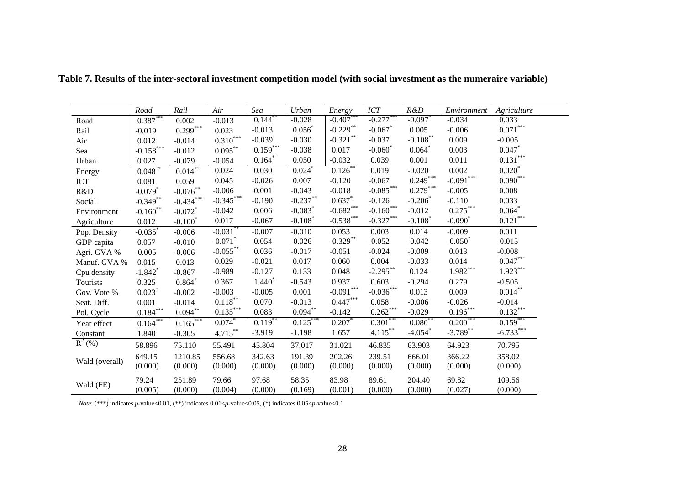|                | Road                   | Rail                  | Air                   | Sea        | Urban                 | Energy                           | ICT                     | R&D                   | Environment | Agriculture |
|----------------|------------------------|-----------------------|-----------------------|------------|-----------------------|----------------------------------|-------------------------|-----------------------|-------------|-------------|
| Road           | $0.387***$             | 0.002                 | $-0.013$              | $0.144$ ** | $-0.028$              | $-0.407$                         | $-0.277***$             | $-0.097$ <sup>*</sup> | $-0.034$    | 0.033       |
| Rail           | $-0.019$               | $0.299***$            | 0.023                 | $-0.013$   | 0.056                 | $-0.229$ **                      | $-0.067$                | 0.005                 | $-0.006$    | $0.071***$  |
| Air            | 0.012                  | $-0.014$              | $0.310***$            | $-0.039$   | $-0.030$              | $-0.321$ **                      | $-0.037$                | $-0.108***$           | 0.009       | $-0.005$    |
| Sea            | $-0.158***$            | $-0.012$              | $0.095***$            | $0.159***$ | $-0.038$              | 0.017                            | $-0.060^*$              | 0.064                 | 0.003       | $0.047$ *   |
| Urban          | 0.027                  | $-0.079$              | $-0.054$              | $0.164*$   | 0.050                 | $-0.032$                         | 0.039                   | 0.001                 | 0.011       | $0.131***$  |
| Energy         | $0.048^{**}$           | $0.014$ <sup>**</sup> | 0.024                 | 0.030      | 0.024                 | $0.126***$                       | 0.019                   | $-0.020$              | 0.002       | $0.020*$    |
| <b>ICT</b>     | 0.081                  | 0.059                 | 0.045                 | $-0.026$   | 0.007                 | $-0.120$                         | $-0.067$                | $0.249***$            | $-0.091***$ | $0.090***$  |
| R&D            | $-0.079$ <sup>*</sup>  | $-0.076***$           | $-0.006$              | 0.001      | $-0.043$              | $-0.018$                         | $-0.085***$             | $0.279***$            | $-0.005$    | 0.008       |
| Social         | $-0.349**$             | $-0.434***$           | $-0.345***$           | $-0.190$   | $-0.237**$            | 0.637                            | $-0.126$                | $-0.206$              | $-0.110$    | 0.033       |
| Environment    | $-0.160$ <sup>**</sup> | $-0.072$ <sup>*</sup> | $-0.042$              | 0.006      | $-0.083$ <sup>*</sup> | $-0.682***$                      | $-0.160$ <sup>***</sup> | $-0.012$              | $0.275***$  | 0.064       |
| Agriculture    | 0.012                  | $-0.100*$             | 0.017                 | $-0.067$   | $-0.108$              | $-0.538***$                      | $-0.327***$             | $-0.108$              | $-0.090^*$  | $0.121***$  |
| Pop. Density   | $-0.035$ <sup>*</sup>  | $-0.006$              | $-0.031$ <sup>*</sup> | $-0.007$   | $-0.010$              | 0.053                            | 0.003                   | 0.014                 | $-0.009$    | 0.011       |
| GDP capita     | 0.057                  | $-0.010$              | $-0.071$ <sup>*</sup> | 0.054      | $-0.026$              | $-0.329$ **                      | $-0.052$                | $-0.042$              | $-0.050^*$  | $-0.015$    |
| Agri. GVA %    | $-0.005$               | $-0.006$              | $-0.055***$           | 0.036      | $-0.017$              | $-0.051$                         | $-0.024$                | $-0.009$              | 0.013       | $-0.008$    |
| Manuf. GVA %   | 0.015                  | 0.013                 | 0.029                 | $-0.021$   | 0.017                 | 0.060                            | 0.004                   | $-0.033$              | 0.014       | $0.047***$  |
| Cpu density    | $-1.842$ <sup>*</sup>  | $-0.867$              | $-0.989$              | $-0.127$   | 0.133                 | 0.048                            | $-2.295***$             | 0.124                 | $1.982***$  | $1.923***$  |
| Tourists       | 0.325                  | $0.864*$              | 0.367                 | $1.440*$   | $-0.543$              | 0.937                            | 0.603                   | $-0.294$              | 0.279       | $-0.505$    |
| Gov. Vote %    | $0.023$ <sup>*</sup>   | $-0.002$              | $-0.003$              | $-0.005$   | 0.001                 | $\textbf{-0.091}^{\ast\ast\ast}$ | $-0.036***$             | 0.013                 | 0.009       | $0.014***$  |
| Seat. Diff.    | 0.001                  | $-0.014$              | $0.118^{\ast\ast}$    | 0.070      | $-0.013$              | $0.447***$                       | 0.058                   | $-0.006$              | $-0.026$    | $-0.014$    |
| Pol. Cycle     | $0.184***$             | $0.094***$            | $0.135***$            | 0.083      | $0.094***$            | $-0.142$                         | $0.262***$              | $-0.029$              | $0.196***$  | $0.132***$  |
| Year effect    | $0.164***$             | $0.165***$            | 0.074                 | $0.119$ ** | $0.125***$            | 0.207                            | $0.301***$              | $0.080^{*}$           | $0.200***$  | $0.159$ **  |
| Constant       | 1.840                  | $-0.305$              | 4.715**               | $-3.919$   | $-1.198$              | 1.657                            | $4.115***$              | $-4.054$ <sup>*</sup> | $-3.789$ ** | $-6.733***$ |
| $R^2$ (%)      | 58.896                 | 75.110                | 55.491                | 45.804     | 37.017                | 31.021                           | 46.835                  | 63.903                | 64.923      | 70.795      |
|                | 649.15                 | 1210.85               | 556.68                | 342.63     | 191.39                | 202.26                           | 239.51                  | 666.01                | 366.22      | 358.02      |
| Wald (overall) | (0.000)                | (0.000)               | (0.000)               | (0.000)    | (0.000)               | (0.000)                          | (0.000)                 | (0.000)               | (0.000)     | (0.000)     |
|                | 79.24                  | 251.89                | 79.66                 | 97.68      | 58.35                 | 83.98                            | 89.61                   | 204.40                | 69.82       | 109.56      |
| Wald (FE)      | (0.005)                | (0.000)               | (0.004)               | (0.000)    | (0.169)               | (0.001)                          | (0.000)                 | (0.000)               | (0.027)     | (0.000)     |

**Table 7. Results of the inter-sectoral investment competition model (with social investment as the numeraire variable)** 

*Note*: (\*\*\*) indicates *p*-value<0.01, (\*\*) indicates 0.01<*p*-value<0.05, (\*) indicates 0.05<*p*-value<0.1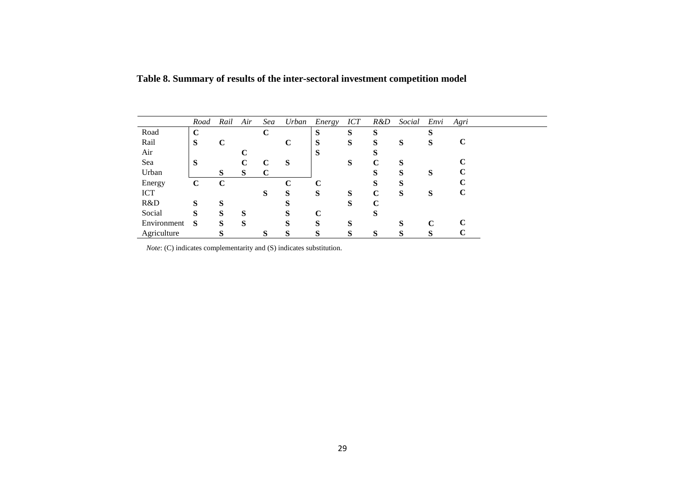|             | Road        | Rail | Air | Sea         | Urban       | Energy | <b>ICT</b> | R&D         | Social | Envi | Agri        |
|-------------|-------------|------|-----|-------------|-------------|--------|------------|-------------|--------|------|-------------|
| Road        | $\mathbf C$ |      |     | $\mathbf C$ |             | S      | S          | S           |        | S    |             |
| Rail        | S           | C    |     |             | $\mathbf C$ | S      | S          | S           | S      | S    | $\mathbf C$ |
| Air         |             |      |     |             |             | S      |            | S           |        |      |             |
| Sea         | S           |      | C   | C           | S           |        | S          | $\mathbf C$ | S      |      |             |
| Urban       |             | S    | S   | C           |             |        |            | S           | S      | S    | C           |
| Energy      | $\mathbf C$ | C    |     |             | C           | C      |            | S           | S      |      |             |
| <b>ICT</b>  |             |      |     | S           | S           | S      | S          | $\mathbf C$ | S      | S    | C           |
| R&D         | S           | S    |     |             | S           |        | S          | C           |        |      |             |
| Social      | S           | S    | S   |             | S           | C      |            | S           |        |      |             |
| Environment | S           | S    | S   |             | S           | S      | S          |             | S      | C    | C           |
| Agriculture |             | S    |     | S           | S           | S      | S          | S           | S      | S    |             |

 **Table 8. Summary of results of the inter-sectoral investment competition model** 

*Note*: (C) indicates complementarity and (S) indicates substitution.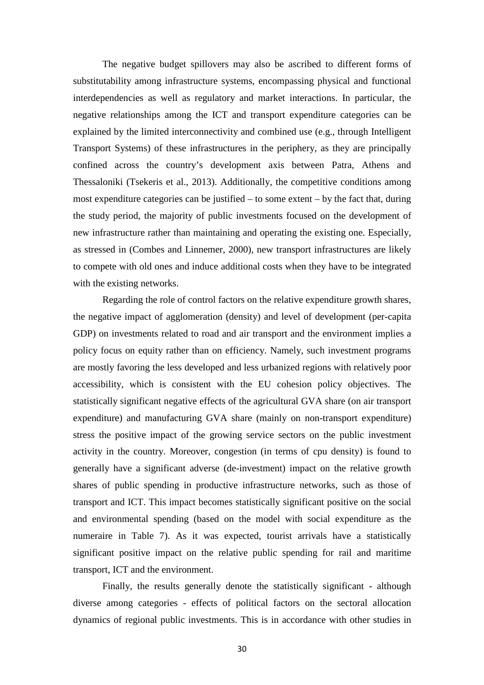The negative budget spillovers may also be ascribed to different forms of substitutability among infrastructure systems, encompassing physical and functional interdependencies as well as regulatory and market interactions. In particular, the negative relationships among the ICT and transport expenditure categories can be explained by the limited interconnectivity and combined use (e.g., through Intelligent Transport Systems) of these infrastructures in the periphery, as they are principally confined across the country's development axis between Patra, Athens and Thessaloniki (Tsekeris et al., 2013). Additionally, the competitive conditions among most expenditure categories can be justified – to some extent – by the fact that, during the study period, the majority of public investments focused on the development of new infrastructure rather than maintaining and operating the existing one. Especially, as stressed in (Combes and Linnemer, 2000), new transport infrastructures are likely to compete with old ones and induce additional costs when they have to be integrated with the existing networks.

Regarding the role of control factors on the relative expenditure growth shares, the negative impact of agglomeration (density) and level of development (per-capita GDP) on investments related to road and air transport and the environment implies a policy focus on equity rather than on efficiency. Namely, such investment programs are mostly favoring the less developed and less urbanized regions with relatively poor accessibility, which is consistent with the EU cohesion policy objectives. The statistically significant negative effects of the agricultural GVA share (on air transport expenditure) and manufacturing GVA share (mainly on non-transport expenditure) stress the positive impact of the growing service sectors on the public investment activity in the country. Moreover, congestion (in terms of cpu density) is found to generally have a significant adverse (de-investment) impact on the relative growth shares of public spending in productive infrastructure networks, such as those of transport and ICT. This impact becomes statistically significant positive on the social and environmental spending (based on the model with social expenditure as the numeraire in Table 7). As it was expected, tourist arrivals have a statistically significant positive impact on the relative public spending for rail and maritime transport, ICT and the environment.

Finally, the results generally denote the statistically significant - although diverse among categories - effects of political factors on the sectoral allocation dynamics of regional public investments. This is in accordance with other studies in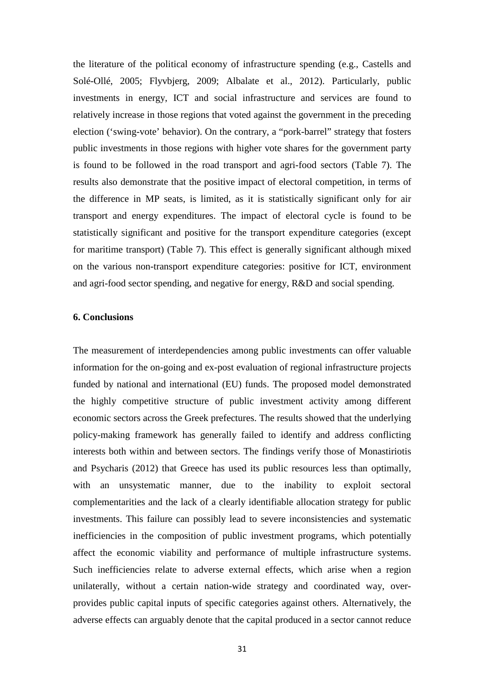the literature of the political economy of infrastructure spending (e.g., Castells and Solé-Ollé, 2005; Flyvbjerg, 2009; Albalate et al., 2012). Particularly, public investments in energy, ICT and social infrastructure and services are found to relatively increase in those regions that voted against the government in the preceding election ('swing-vote' behavior). On the contrary, a "pork-barrel" strategy that fosters public investments in those regions with higher vote shares for the government party is found to be followed in the road transport and agri-food sectors (Table 7). The results also demonstrate that the positive impact of electoral competition, in terms of the difference in MP seats, is limited, as it is statistically significant only for air transport and energy expenditures. The impact of electoral cycle is found to be statistically significant and positive for the transport expenditure categories (except for maritime transport) (Table 7). This effect is generally significant although mixed on the various non-transport expenditure categories: positive for ICT, environment and agri-food sector spending, and negative for energy, R&D and social spending.

#### **6. Conclusions**

The measurement of interdependencies among public investments can offer valuable information for the on-going and ex-post evaluation of regional infrastructure projects funded by national and international (EU) funds. The proposed model demonstrated the highly competitive structure of public investment activity among different economic sectors across the Greek prefectures. The results showed that the underlying policy-making framework has generally failed to identify and address conflicting interests both within and between sectors. The findings verify those of Monastiriotis and Psycharis (2012) that Greece has used its public resources less than optimally, with an unsystematic manner, due to the inability to exploit sectoral complementarities and the lack of a clearly identifiable allocation strategy for public investments. This failure can possibly lead to severe inconsistencies and systematic inefficiencies in the composition of public investment programs, which potentially affect the economic viability and performance of multiple infrastructure systems. Such inefficiencies relate to adverse external effects, which arise when a region unilaterally, without a certain nation-wide strategy and coordinated way, overprovides public capital inputs of specific categories against others. Alternatively, the adverse effects can arguably denote that the capital produced in a sector cannot reduce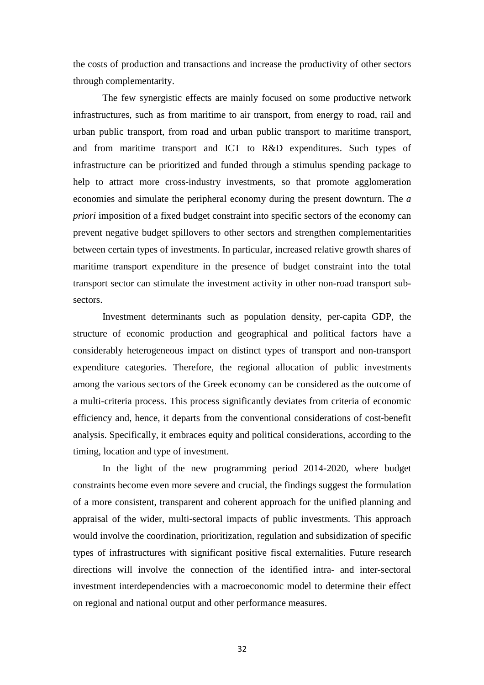the costs of production and transactions and increase the productivity of other sectors through complementarity.

The few synergistic effects are mainly focused on some productive network infrastructures, such as from maritime to air transport, from energy to road, rail and urban public transport, from road and urban public transport to maritime transport, and from maritime transport and ICT to R&D expenditures. Such types of infrastructure can be prioritized and funded through a stimulus spending package to help to attract more cross-industry investments, so that promote agglomeration economies and simulate the peripheral economy during the present downturn. The *a priori* imposition of a fixed budget constraint into specific sectors of the economy can prevent negative budget spillovers to other sectors and strengthen complementarities between certain types of investments. In particular, increased relative growth shares of maritime transport expenditure in the presence of budget constraint into the total transport sector can stimulate the investment activity in other non-road transport subsectors.

Investment determinants such as population density, per-capita GDP, the structure of economic production and geographical and political factors have a considerably heterogeneous impact on distinct types of transport and non-transport expenditure categories. Therefore, the regional allocation of public investments among the various sectors of the Greek economy can be considered as the outcome of a multi-criteria process. This process significantly deviates from criteria of economic efficiency and, hence, it departs from the conventional considerations of cost-benefit analysis. Specifically, it embraces equity and political considerations, according to the timing, location and type of investment.

In the light of the new programming period 2014-2020, where budget constraints become even more severe and crucial, the findings suggest the formulation of a more consistent, transparent and coherent approach for the unified planning and appraisal of the wider, multi-sectoral impacts of public investments. This approach would involve the coordination, prioritization, regulation and subsidization of specific types of infrastructures with significant positive fiscal externalities. Future research directions will involve the connection of the identified intra- and inter-sectoral investment interdependencies with a macroeconomic model to determine their effect on regional and national output and other performance measures.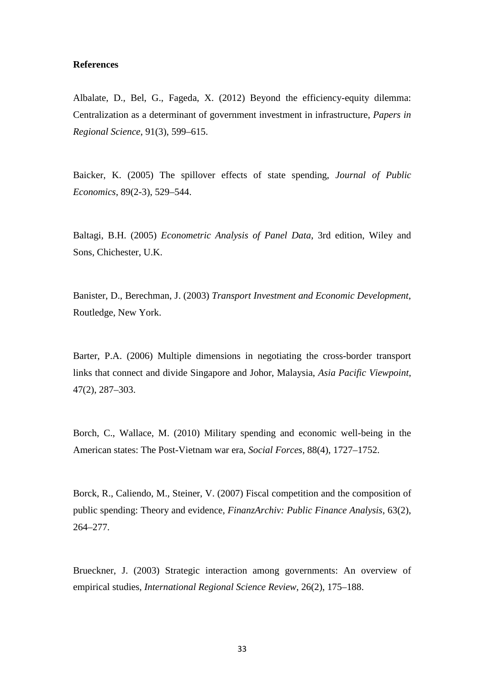#### **References**

Albalate, D., Bel, G., Fageda, X. (2012) Beyond the efficiency-equity dilemma: Centralization as a determinant of government investment in infrastructure, *Papers in Regional Science*, 91(3), 599–615.

Baicker, K. (2005) The spillover effects of state spending, *Journal of Public Economics*, 89(2-3), 529–544.

Baltagi, B.H. (2005) *Econometric Analysis of Panel Data*, 3rd edition, Wiley and Sons, Chichester, U.K.

Banister, D., Berechman, J. (2003) *Transport Investment and Economic Development*, Routledge, New York.

Barter, P.A. (2006) Multiple dimensions in negotiating the cross-border transport links that connect and divide Singapore and Johor, Malaysia, *Asia Pacific Viewpoint*, 47(2), 287–303.

Borch, C., Wallace, M. (2010) Military spending and economic well-being in the American states: The Post-Vietnam war era, *Social Forces*, 88(4), 1727–1752.

Borck, R., Caliendo, M., Steiner, V. (2007) Fiscal competition and the composition of public spending: Theory and evidence, *FinanzArchiv: Public Finance Analysis*, 63(2), 264–277.

Brueckner, J. (2003) Strategic interaction among governments: An overview of empirical studies, *International Regional Science Review*, 26(2), 175–188.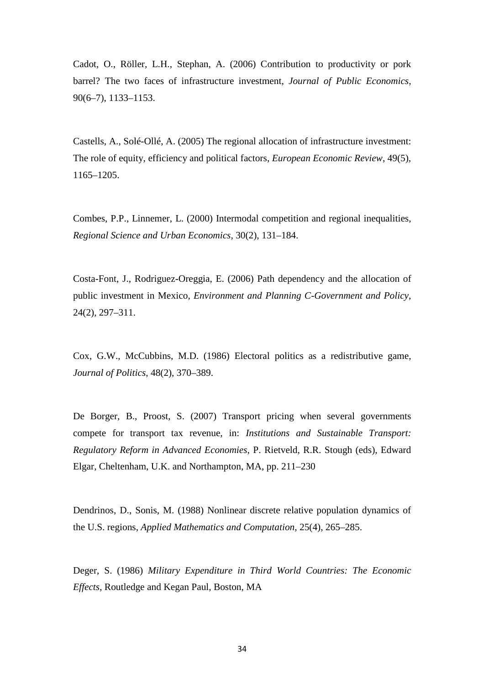Cadot, O., Röller, L.H., Stephan, A. (2006) Contribution to productivity or pork barrel? The two faces of infrastructure investment, *Journal of Public Economics*, 90(6–7), 1133–1153.

Castells, A., Solé-Ollé, A. (2005) The regional allocation of infrastructure investment: The role of equity, efficiency and political factors, *European Economic Review*, 49(5), 1165–1205.

Combes, P.P., Linnemer, L. (2000) Intermodal competition and regional inequalities, *Regional Science and Urban Economics*, 30(2), 131–184.

Costa-Font, J., Rodriguez-Oreggia, E. (2006) Path dependency and the allocation of public investment in Mexico, *Environment and Planning C-Government and Policy*, 24(2), 297–311.

Cox, G.W., McCubbins, M.D. (1986) Electoral politics as a redistributive game, *Journal of Politics*, 48(2), 370–389.

De Borger, B., Proost, S. (2007) Transport pricing when several governments compete for transport tax revenue, in: *Institutions and Sustainable Transport: Regulatory Reform in Advanced Economies*, P. Rietveld, R.R. Stough (eds), Edward Elgar, Cheltenham, U.K. and Northampton, MA, pp. 211–230

Dendrinos, D., Sonis, M. (1988) Nonlinear discrete relative population dynamics of the U.S. regions, *Applied Mathematics and Computation*, 25(4), 265–285.

Deger, S. (1986) *Military Expenditure in Third World Countries: The Economic Effects*, Routledge and Kegan Paul, Boston, MA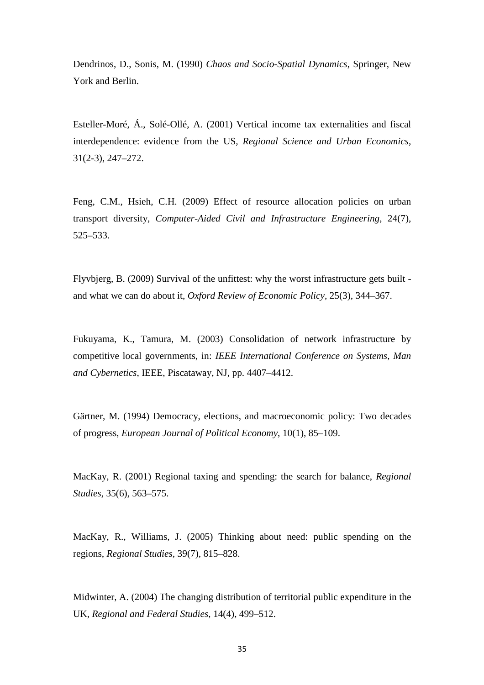Dendrinos, D., Sonis, M. (1990) *Chaos and Socio-Spatial Dynamics*, Springer, New York and Berlin.

Esteller-Moré, Á., Solé-Ollé, A. (2001) Vertical income tax externalities and fiscal interdependence: evidence from the US, *Regional Science and Urban Economics*, 31(2-3), 247–272.

Feng, C.M., Hsieh, C.H. (2009) Effect of resource allocation policies on urban transport diversity, *Computer-Aided Civil and Infrastructure Engineering*, 24(7), 525–533.

Flyvbjerg, B. (2009) Survival of the unfittest: why the worst infrastructure gets built and what we can do about it, *Oxford Review of Economic Policy*, 25(3), 344–367.

Fukuyama, K., Tamura, M. (2003) Consolidation of network infrastructure by competitive local governments, in: *IEEE International Conference on Systems, Man and Cybernetics*, IEEE, Piscataway, NJ, pp. 4407–4412.

Gärtner, M. (1994) Democracy, elections, and macroeconomic policy: Two decades of progress, *European Journal of Political Economy*, 10(1), 85–109.

MacKay, R. (2001) Regional taxing and spending: the search for balance, *Regional Studies*, 35(6), 563–575.

MacKay, R., Williams, J. (2005) Thinking about need: public spending on the regions, *Regional Studies*, 39(7), 815–828.

Midwinter, A. (2004) The changing distribution of territorial public expenditure in the UK, *Regional and Federal Studies*, 14(4), 499–512.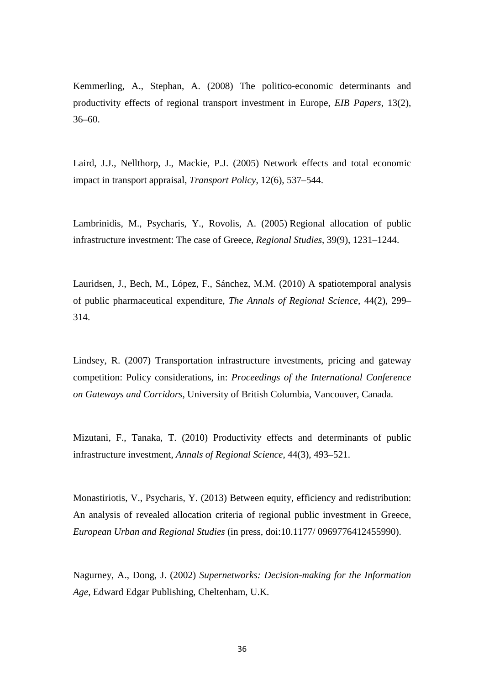Kemmerling, A., Stephan, A. (2008) The politico-economic determinants and productivity effects of regional transport investment in Europe, *EIB Papers*, 13(2), 36–60.

Laird, J.J., Nellthorp, J., Mackie, P.J. (2005) Network effects and total economic impact in transport appraisal, *Transport Policy*, 12(6), 537–544.

Lambrinidis, M., Psycharis, Y., Rovolis, A. (2005) Regional allocation of public infrastructure investment: The case of Greece, *Regional Studies*, 39(9), 1231–1244.

Lauridsen, J., Bech, M., López, F., Sánchez, M.M. (2010) A spatiotemporal analysis of public pharmaceutical expenditure, *The Annals of Regional Science*, 44(2), 299– 314.

Lindsey, R. (2007) Transportation infrastructure investments, pricing and gateway competition: Policy considerations, in: *Proceedings of the International Conference on Gateways and Corridors*, University of British Columbia, Vancouver, Canada.

Mizutani, F., Tanaka, T. (2010) Productivity effects and determinants of public infrastructure investment, *Annals of Regional Science*, 44(3), 493–521.

Monastiriotis, V., Psycharis, Y. (2013) Between equity, efficiency and redistribution: An analysis of revealed allocation criteria of regional public investment in Greece, *European Urban and Regional Studies* (in press, doi:10.1177/ 0969776412455990).

Nagurney, A., Dong, J. (2002) *Supernetworks: Decision-making for the Information Age*, Edward Edgar Publishing, Cheltenham, U.K.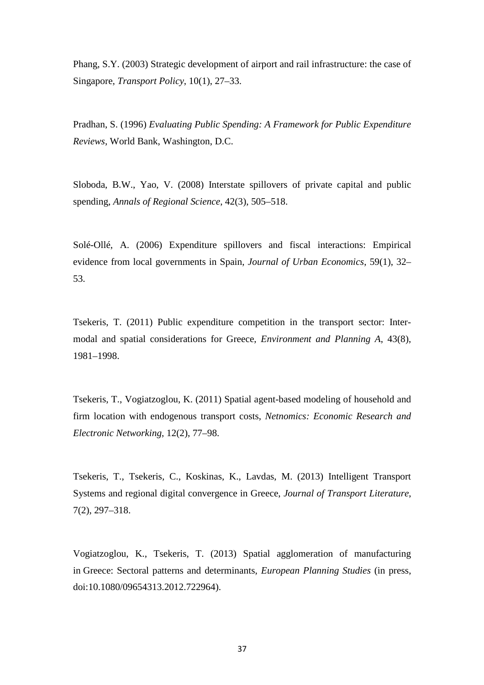Phang, S.Y. (2003) Strategic development of airport and rail infrastructure: the case of Singapore, *Transport Policy*, 10(1), 27–33.

Pradhan, S. (1996) *Evaluating Public Spending: A Framework for Public Expenditure Reviews*, World Bank, Washington, D.C.

Sloboda, B.W., Yao, V. (2008) Interstate spillovers of private capital and public spending, *Annals of Regional Science*, 42(3), 505–518.

Solé-Ollé, A. (2006) Expenditure spillovers and fiscal interactions: Empirical evidence from local governments in Spain, *Journal of Urban Economics*, 59(1), 32– 53.

Tsekeris, T. (2011) Public expenditure competition in the transport sector: Intermodal and spatial considerations for Greece, *Environment and Planning A*, 43(8), 1981–1998.

Tsekeris, T., Vogiatzoglou, K. (2011) Spatial agent-based modeling of household and firm location with endogenous transport costs, *Netnomics: Economic Research and Electronic Networking*, 12(2), 77–98.

Tsekeris, T., Tsekeris, C., Koskinas, K., Lavdas, M. (2013) Intelligent Transport Systems and regional digital convergence in Greece, *Journal of Transport Literature*, 7(2), 297–318.

Vogiatzoglou, K., Tsekeris, T. (2013) Spatial agglomeration of manufacturing in Greece: Sectoral patterns and determinants, *European Planning Studies* (in press, doi:10.1080/09654313.2012.722964).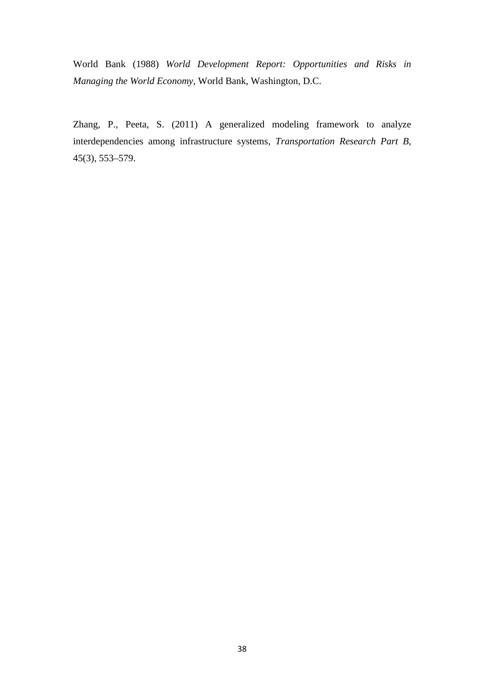World Bank (1988) *World Development Report: Opportunities and Risks in Managing the World Economy*, World Bank, Washington, D.C.

Zhang, P., Peeta, S. (2011) A generalized modeling framework to analyze interdependencies among infrastructure systems, *Transportation Research Part B*, 45(3), 553–579.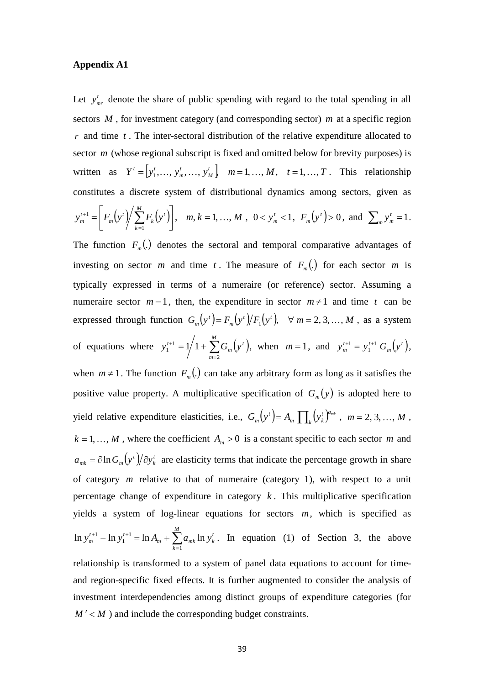#### **Appendix A1**

Let  $y_{\textit{mr}}^t$  denote the share of public spending with regard to the total spending in all sectors *M* , for investment category (and corresponding sector) *m* at a specific region *r* and time *t* . The inter-sectoral distribution of the relative expenditure allocated to sector *m* (whose regional subscript is fixed and omitted below for brevity purposes) is written as  $Y^t = \begin{bmatrix} y_1^t, \dots, y_m^t, \dots, y_M^t \end{bmatrix}$   $m = 1, \dots, M, t = 1, \dots, T$ *M t m*  $t = [y_1^t, ..., y_m^t, ..., y_M^t]$   $m = 1, ..., M, t = 1, ..., T$ . This relationship constitutes a discrete system of distributional dynamics among sectors, given as  $y_m^{t+1} = \left| F_m(y^t) \right| \sum_{k=1}^{M} F_k(y^t) \right|, \quad m, k = 1, ..., M$ *k t k t m t*  $\binom{t+1}{m} = \frac{F_m(y^t)}{2} \sum F_k(y^t)$ ,  $m, k = 1, ...,$ 1  $I^1 = |F_m(y')|\sum F_k(y')|, \quad m, k = 1, ...$  $\rfloor$  $\overline{\phantom{a}}$  $\overline{\phantom{a}}$  $C_t^{t+1} = \left[ F_m(y^t) / \sum_{k=1}^M F_k(y^t) \right], \quad m, k = 1, ..., M, \quad 0 < y_m^t < 1$  $y_m^t < 1$ ,  $F_m(y^t) > 0$ , and  $\sum_m y_m^t = 1$ *t*  $y_m^t = 1$ . The function  $F_m(.)$  denotes the sectoral and temporal comparative advantages of investing on sector *m* and time *t*. The measure of  $F_m$ <sup>(*i*</sup>) for each sector *m* is typically expressed in terms of a numeraire (or reference) sector. Assuming a numeraire sector  $m=1$ , then, the expenditure in sector  $m \neq 1$  and time t can be expressed through function  $G_m(y^t) = F_m(y^t)/F_1(y^t)$ ,  $\forall m = 2, 3, ..., M$ *m t*  $F_m(y^t) = F_m(y^t)/F_1(y^t), \quad \forall \ m = 2, 3, ..., M$ , as a system of equations where  $y_1^{t+1} = 1/1 + \sum_{m=2}^{M} G_m(y^t)$ ,  $x^{+1} = 1/1 + \sum_{i=1}^{M}$ *m t m*  $y_1^{t+1} = 1/1 + \sum G_m(y)$ 2 1  $\sum_{1}^{t+1}$  = 1/1 +  $\sum G_m(y^t)$ , when  $m = 1$ , and  $y_m^{t+1} = y_1^{t+1} G_m(y^t)$ , *m*  $^{t+1}$   $\frac{1}{t}$   $\frac{1}{t}$  $y_m^{t+1} = y_1^{t+1} G_m(y)$ 1  $y_1^{t+1} = y_1^{t+1} G_m(y^t),$ when  $m \neq 1$ . The function  $F_m(.)$  can take any arbitrary form as long as it satisfies the positive value property. A multiplicative specification of  $G_m(y)$  is adopted here to yield relative expenditure elasticities, i.e.,  $G_m(y^t) = A_m \prod_k (y^t_k)^n$ *a t m*  $\mathbf{I}$   $\mathbf{I}_k$   $\forall k$ *t*  $G_m(y^t) = A_m \prod_k (y_k^t)^{a_{mk}}$ ,  $m = 2, 3, ..., M$ ,  $k = 1, \ldots, M$ , where the coefficient  $A_m > 0$  is a constant specific to each sector *m* and  $(y^t)/\partial y^t_k$ *k t*  $a_{mk} = \partial \ln G_m(y^t)/\partial y^t$  are elasticity terms that indicate the percentage growth in share of category *m* relative to that of numeraire (category 1), with respect to a unit percentage change of expenditure in category  $k$ . This multiplicative specification yields a system of log-linear equations for sectors *m*, which is specified as  $L_i^{+1}$  - ln  $y_1^{t+1}$  = ln  $A_m$  +  $\sum_{k=1}^{M}$ *k t*  $m \left( k \right)$   $\left( \sum_{k} a_{mk} \ln y_k \right)$  $^{t+1}$  **ln**  $^{t}$  $y_m^{t+1}$  –  $\ln y_1^{t+1}$  =  $\ln A_m + \sum a_{mk} \ln y_k$ 1 1 1  $\ln y_m^{t+1} - \ln y_1^{t+1} = \ln A_m + \sum a_{mk} \ln y_k^t$ . In equation (1) of Section 3, the above relationship is transformed to a system of panel data equations to account for timeand region-specific fixed effects. It is further augmented to consider the analysis of investment interdependencies among distinct groups of expenditure categories (for  $M' < M$ ) and include the corresponding budget constraints.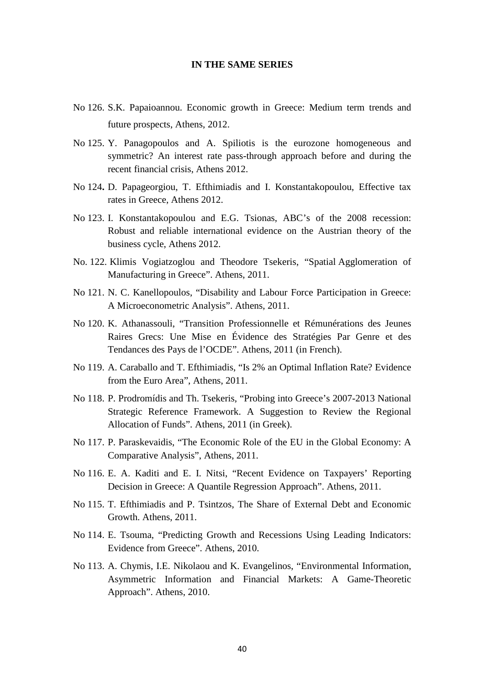#### **IN THE SAME SERIES**

- No 126. S.K. Papaioannou. Economic growth in Greece: Medium term trends and future prospects, Athens, 2012.
- No 125. Y. Panagopoulos and A. Spiliotis is the eurozone homogeneous and symmetric? An interest rate pass-through approach before and during the recent financial crisis, Athens 2012.
- No 124**.** D. Papageorgiou, T. Efthimiadis and I. Konstantakopoulou, Effective tax rates in Greece, Athens 2012.
- No 123. I. Konstantakopoulou and E.G. Tsionas, ABC's of the 2008 recession: Robust and reliable international evidence on the Austrian theory of the business cycle, Athens 2012.
- No. 122. Klimis Vogiatzoglou and Theodore Tsekeris, "Spatial Agglomeration of Manufacturing in Greece". Athens, 2011.
- No 121. N. C. Kanellopoulos, "Disability and Labour Force Participation in Greece: A Microeconometric Analysis". Athens, 2011.
- No 120. K. Athanassouli, "Transition Professionnelle et Rémunérations des Jeunes Raires Grecs: Une Mise en Évidence des Stratégies Par Genre et des Tendances des Pays de l'OCDE". Athens, 2011 (in French).
- No 119. A. Caraballo and T. Efthimiadis, "Is 2% an Optimal Inflation Rate? Evidence from the Euro Area", Athens, 2011.
- No 118. P. Prodromídis and Th. Tsekeris, "Probing into Greece's 2007-2013 National Strategic Reference Framework. A Suggestion to Review the Regional Allocation of Funds". Athens, 2011 (in Greek).
- No 117. P. Paraskevaidis, "The Economic Role of the EU in the Global Economy: A Comparative Analysis", Athens, 2011.
- No 116. E. A. Kaditi and E. I. Nitsi, "Recent Evidence on Taxpayers' Reporting Decision in Greece: A Quantile Regression Approach". Athens, 2011.
- No 115. T. Efthimiadis and P. Tsintzos, The Share of External Debt and Economic Growth. Athens, 2011.
- No 114. E. Tsouma, "Predicting Growth and Recessions Using Leading Indicators: Evidence from Greece". Athens, 2010.
- No 113. A. Chymis, I.E. Nikolaou and K. Evangelinos, "Environmental Information, Asymmetric Information and Financial Markets: A Game-Theoretic Approach". Athens, 2010.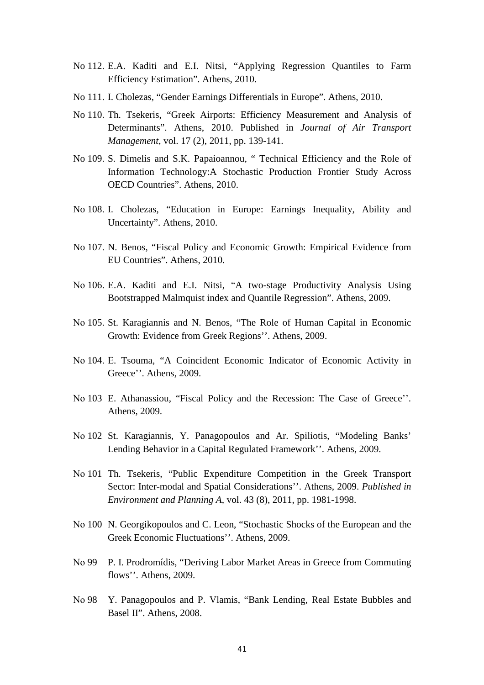- No 112. E.A. Kaditi and E.I. Nitsi, "Applying Regression Quantiles to Farm Efficiency Estimation". Athens, 2010.
- No 111. I. Cholezas, "Gender Earnings Differentials in Europe". Athens, 2010.
- No 110. Th. Tsekeris, "Greek Airports: Efficiency Measurement and Analysis of Determinants". Athens, 2010. Published in *Journal of Air Transport Management*, vol. 17 (2), 2011, pp. 139-141.
- No 109. S. Dimelis and S.K. Papaioannou, " Technical Efficiency and the Role of Information Technology:A Stochastic Production Frontier Study Across OECD Countries". Athens, 2010.
- No 108. I. Cholezas, "Education in Europe: Earnings Inequality, Ability and Uncertainty". Athens, 2010.
- No 107. N. Benos, "Fiscal Policy and Economic Growth: Empirical Evidence from EU Countries". Athens, 2010.
- Νο 106. E.A. Kaditi and E.I. Nitsi, "A two-stage Productivity Analysis Using Bootstrapped Malmquist index and Quantile Regression". Athens, 2009.
- Νο 105. St. Karagiannis and N. Benos, "The Role of Human Capital in Economic Growth: Evidence from Greek Regions''. Athens, 2009.
- Νο 104. Ε. Tsouma, "A Coincident Economic Indicator of Economic Activity in Greece''. Athens, 2009.
- Νο 103 E. Athanassiou, "Fiscal Policy and the Recession: The Case of Greece''. Athens, 2009.
- Νο 102 St. Karagiannis, Y. Panagopoulos and Ar. Spiliotis, "Modeling Banks' Lending Behavior in a Capital Regulated Framework''. Athens, 2009.
- Νο 101 Th. Tsekeris, "Public Expenditure Competition in the Greek Transport Sector: Inter-modal and Spatial Considerations''. Athens, 2009. *Published in Environment and Planning A*, vol. 43 (8), 2011, pp. 1981-1998.
- Νο 100 N. Georgikopoulos and C. Leon, "Stochastic Shocks of the European and the Greek Economic Fluctuations''. Athens, 2009.
- Νο 99 P. I. Prodromídis, "Deriving Labor Market Areas in Greece from Commuting flows''. Athens, 2009.
- Νο 98 Y. Panagopoulos and P. Vlamis, "Bank Lending, Real Estate Bubbles and Basel II". Athens, 2008.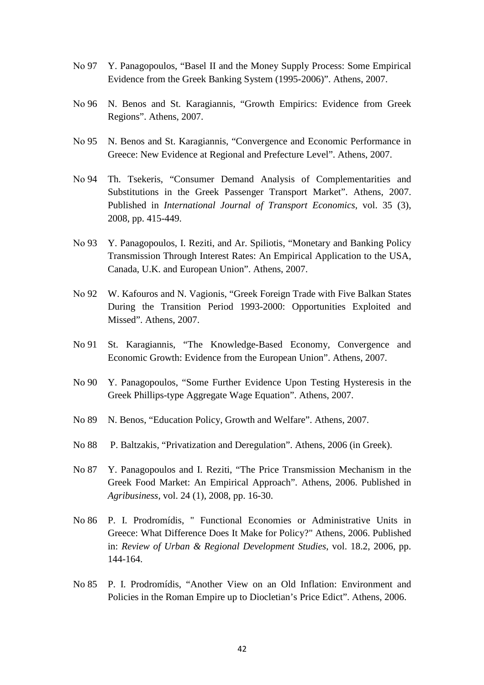- Νο 97 Y. Panagopoulos, "Basel II and the Money Supply Process: Some Empirical Evidence from the Greek Banking System (1995-2006)". Athens, 2007.
- Νο 96 N. Benos and St. Karagiannis, "Growth Empirics: Evidence from Greek Regions". Athens, 2007.
- Νο 95 N. Benos and St. Karagiannis, "Convergence and Economic Performance in Greece: New Evidence at Regional and Prefecture Level". Athens, 2007.
- Νο 94 Th. Tsekeris, "Consumer Demand Analysis of Complementarities and Substitutions in the Greek Passenger Transport Market". Athens, 2007. Published in *International Journal of Transport Economics*, vol. 35 (3), 2008, pp. 415-449.
- Νο 93 Y. Panagopoulos, I. Reziti, and Ar. Spiliotis, "Monetary and Banking Policy Transmission Through Interest Rates: An Empirical Application to the USA, Canada, U.K. and European Union". Athens, 2007.
- Νο 92 W. Kafouros and N. Vagionis, "Greek Foreign Trade with Five Balkan States During the Transition Period 1993-2000: Opportunities Exploited and Missed". Athens, 2007.
- No 91 St. Karagiannis, "The Knowledge-Based Economy, Convergence and Economic Growth: Evidence from the European Union". Athens, 2007.
- No 90 Y. Panagopoulos, "Some Further Evidence Upon Testing Hysteresis in the Greek Phillips-type Aggregate Wage Equation". Athens, 2007.
- No 89 N. Benos, "Education Policy, Growth and Welfare". Athens, 2007.
- No 88 P. Baltzakis, "Privatization and Deregulation". Athens, 2006 (in Greek).
- No 87 Y. Panagopoulos and I. Reziti, "The Price Transmission Mechanism in the Greek Food Market: An Empirical Approach". Athens, 2006. Published in *Agribusiness*, vol. 24 (1), 2008, pp. 16-30.
- No 86 P. I. Prodromídis, " Functional Economies or Administrative Units in Greece: What Difference Does It Make for Policy?" Athens, 2006. Published in: *Review of Urban & Regional Development Studies*, vol. 18.2, 2006, pp. 144-164.
- No 85 P. I. Prodromídis, "Another View on an Old Inflation: Environment and Policies in the Roman Empire up to Diocletian's Price Edict". Αthens, 2006.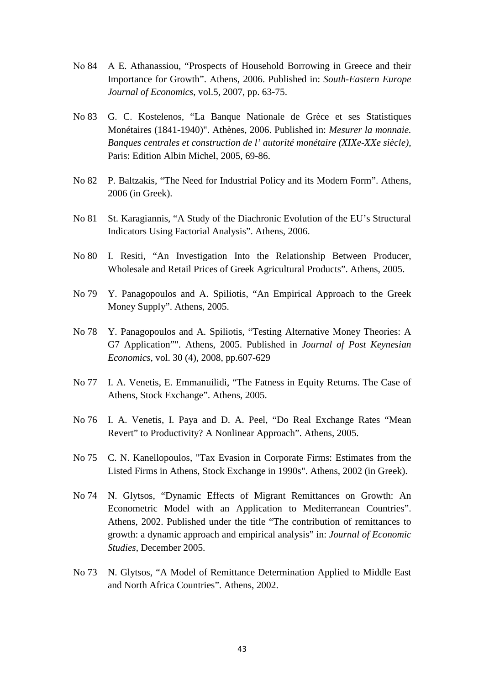- Νο 84 Α E. Athanassiou, "Prospects of Household Borrowing in Greece and their Importance for Growth". Αthens, 2006. Published in: *South-Eastern Europe Journal of Economics*, vol.5, 2007, pp. 63-75.
- No 83 G. C. Kostelenos, "La Banque Nationale de Grèce et ses Statistiques Monétaires (1841-1940)". Athènes, 2006. Published in: *Mesurer la monnaie. Banques centrales et construction de l' autorité monétaire (XIXe-XXe siècle)*, Paris: Edition Albin Michel, 2005, 69-86.
- No 82 P. Baltzakis, "The Need for Industrial Policy and its Modern Form". Athens, 2006 (in Greek).
- No 81 St. Karagiannis, "A Study of the Diachronic Evolution of the EU's Structural Indicators Using Factorial Analysis". Athens, 2006.
- No 80 I. Resiti, "An Investigation Into the Relationship Between Producer, Wholesale and Retail Prices of Greek Agricultural Products". Athens, 2005.
- No 79 Y. Panagopoulos and A. Spiliotis, "An Empirical Approach to the Greek Money Supply". Athens, 2005.
- No 78 Y. Panagopoulos and A. Spiliotis, "Testing Alternative Money Theories: A G7 Application"". Athens, 2005. Published in *Journal of Post Keynesian Economics*, vol. 30 (4), 2008, pp.607-629
- No 77 I. A. Venetis, E. Emmanuilidi, "The Fatness in Equity Returns. The Case of Athens, Stock Exchange". Athens, 2005.
- No 76 I. A. Venetis, I. Paya and D. A. Peel, "Do Real Exchange Rates "Mean Revert" to Productivity? A Nonlinear Approach". Athens, 2005.
- No 75 C. N. Kanellopoulos, "Tax Evasion in Corporate Firms: Estimates from the Listed Firms in Athens, Stock Exchange in 1990s". Athens, 2002 (in Greek).
- No 74 N. Glytsos, "Dynamic Effects of Migrant Remittances on Growth: An Econometric Model with an Application to Mediterranean Countries". Athens, 2002. Published under the title "The contribution of remittances to growth: a dynamic approach and empirical analysis" in: *Journal of Economic Studies*, December 2005.
- No 73 N. Glytsos, "A Model of Remittance Determination Applied to Middle East and North Africa Countries". Athens, 2002.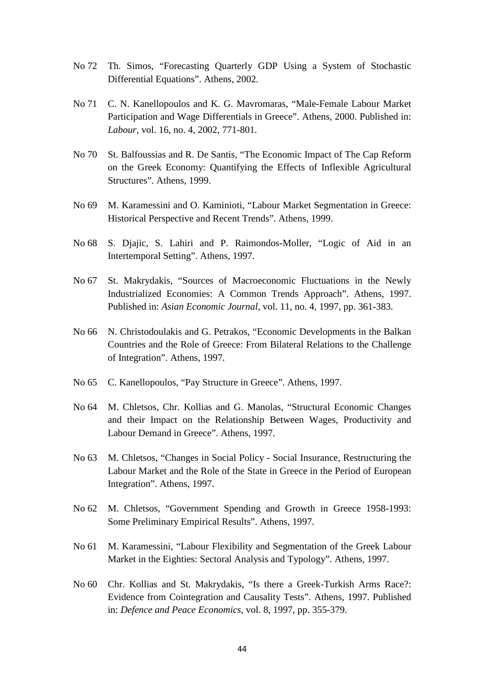- No 72 Th. Simos, "Forecasting Quarterly GDP Using a System of Stochastic Differential Equations". Athens, 2002.
- No 71 C. N. Kanellopoulos and K. G. Mavromaras, "Male-Female Labour Market Participation and Wage Differentials in Greece". Athens, 2000. Published in: *Labour*, vol. 16, no. 4, 2002, 771-801.
- No 70 St. Balfoussias and R. De Santis, "The Economic Impact of The Cap Reform on the Greek Economy: Quantifying the Effects of Inflexible Agricultural Structures". Athens, 1999.
- No 69 M. Karamessini and O. Kaminioti, "Labour Market Segmentation in Greece: Historical Perspective and Recent Trends". Athens, 1999.
- No 68 S. Djajic, S. Lahiri and P. Raimondos-Moller, "Logic of Aid in an Intertemporal Setting". Athens, 1997.
- No 67 St. Makrydakis, "Sources of Macroeconomic Fluctuations in the Newly Industrialized Economies: A Common Trends Approach". Athens, 1997. Published in: *Asian Economic Journal*, vol. 11, no. 4, 1997, pp. 361-383.
- No 66 N. Christodoulakis and G. Petrakos, "Economic Developments in the Balkan Countries and the Role of Greece: From Bilateral Relations to the Challenge of Integration". Athens, 1997.
- No 65 C. Kanellopoulos, "Pay Structure in Greece". Athens, 1997.
- No 64 M. Chletsos, Chr. Kollias and G. Manolas, "Structural Economic Changes and their Impact on the Relationship Between Wages, Productivity and Labour Demand in Greece". Athens, 1997.
- No 63 M. Chletsos, "Changes in Social Policy Social Insurance, Restructuring the Labour Market and the Role of the State in Greece in the Period of European Integration". Athens, 1997.
- No 62 M. Chletsos, "Government Spending and Growth in Greece 1958-1993: Some Preliminary Empirical Results". Athens, 1997.
- No 61 M. Karamessini, "Labour Flexibility and Segmentation of the Greek Labour Market in the Eighties: Sectoral Analysis and Typology". Athens, 1997.
- No 60 Chr. Kollias and St. Makrydakis, "Is there a Greek-Turkish Arms Race?: Evidence from Cointegration and Causality Tests". Athens, 1997. Published in: *Defence and Peace Economics*, vol. 8, 1997, pp. 355-379.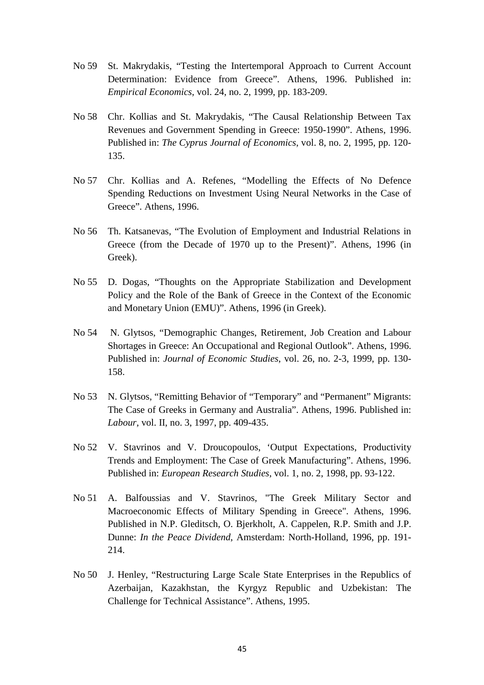- No 59 St. Makrydakis, "Testing the Intertemporal Approach to Current Account Determination: Evidence from Greece". Athens, 1996. Published in: *Empirical Economics*, vol. 24, no. 2, 1999, pp. 183-209.
- No 58 Chr. Kollias and St. Makrydakis, "The Causal Relationship Between Tax Revenues and Government Spending in Greece: 1950-1990". Athens, 1996. Published in: *The Cyprus Journal of Economics*, vol. 8, no. 2, 1995, pp. 120- 135.
- No 57 Chr. Kollias and A. Refenes, "Modelling the Effects of No Defence Spending Reductions on Investment Using Neural Networks in the Case of Greece". Athens, 1996.
- No 56 Th. Katsanevas, "The Evolution of Employment and Industrial Relations in Greece (from the Decade of 1970 up to the Present)". Athens, 1996 (in Greek).
- No 55 D. Dogas, "Thoughts on the Appropriate Stabilization and Development Policy and the Role of the Bank of Greece in the Context of the Economic and Monetary Union (EMU)". Athens, 1996 (in Greek).
- No 54 N. Glytsos, "Demographic Changes, Retirement, Job Creation and Labour Shortages in Greece: An Occupational and Regional Outlook". Athens, 1996. Published in: *Journal of Economic Studies*, vol. 26, no. 2-3, 1999, pp. 130- 158.
- No 53 N. Glytsos, "Remitting Behavior of "Temporary" and "Permanent" Migrants: The Case of Greeks in Germany and Australia". Athens, 1996. Published in: *Labour,* vol. II, no. 3, 1997, pp. 409-435.
- No 52 V. Stavrinos and V. Droucopoulos, 'Output Expectations, Productivity Trends and Employment: The Case of Greek Manufacturing". Athens, 1996. Published in: *European Research Studies*, vol. 1, no. 2, 1998, pp. 93-122.
- No 51 A. Balfoussias and V. Stavrinos, "The Greek Military Sector and Macroeconomic Effects of Military Spending in Greece". Athens, 1996. Published in N.P. Gleditsch, O. Bjerkholt, A. Cappelen, R.P. Smith and J.P. Dunne: *In the Peace Dividend*, Amsterdam: North-Holland, 1996, pp. 191- 214.
- No 50 J. Henley, "Restructuring Large Scale State Enterprises in the Republics of Azerbaijan, Kazakhstan, the Kyrgyz Republic and Uzbekistan: The Challenge for Technical Assistance". Athens, 1995.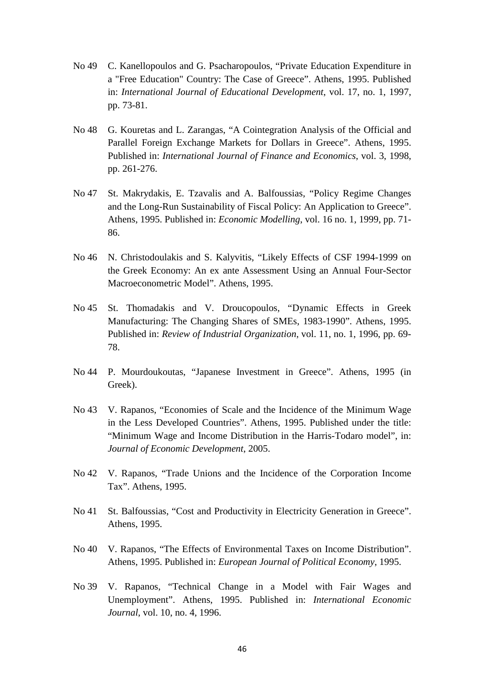- No 49 C. Kanellopoulos and G. Psacharopoulos, "Private Education Expenditure in a "Free Education" Country: The Case of Greece". Athens, 1995. Published in: *International Journal of Educational Development*, vol. 17, no. 1, 1997, pp. 73-81.
- No 48 G. Kouretas and L. Zarangas, "A Cointegration Analysis of the Official and Parallel Foreign Exchange Markets for Dollars in Greece". Athens, 1995. Published in: *International Journal of Finance and Economics*, vol. 3, 1998, pp. 261-276.
- No 47 St. Makrydakis, E. Tzavalis and A. Balfoussias, "Policy Regime Changes and the Long-Run Sustainability of Fiscal Policy: An Application to Greece". Athens, 1995. Published in: *Economic Modelling*, vol. 16 no. 1, 1999, pp. 71- 86.
- No 46 N. Christodoulakis and S. Kalyvitis, "Likely Effects of CSF 1994-1999 on the Greek Economy: An ex ante Assessment Using an Annual Four-Sector Macroeconometric Model". Athens, 1995.
- No 45 St. Thomadakis and V. Droucopoulos, "Dynamic Effects in Greek Manufacturing: The Changing Shares of SMEs, 1983-1990". Athens, 1995. Published in: *Review of Industrial Organization*, vol. 11, no. 1, 1996, pp. 69- 78.
- No 44 P. Mourdoukoutas, "Japanese Investment in Greece". Athens, 1995 (in Greek).
- No 43 V. Rapanos, "Economies of Scale and the Incidence of the Minimum Wage in the Less Developed Countries". Athens, 1995. Published under the title: "Minimum Wage and Income Distribution in the Harris-Todaro model", in: *Journal of Economic Development*, 2005.
- No 42 V. Rapanos, "Trade Unions and the Incidence of the Corporation Income Tax". Athens, 1995.
- No 41 St. Balfoussias, "Cost and Productivity in Electricity Generation in Greece". Athens, 1995.
- No 40 V. Rapanos, "The Effects of Environmental Taxes on Income Distribution". Athens, 1995. Published in: *European Journal of Political Economy*, 1995.
- No 39 V. Rapanos, "Technical Change in a Model with Fair Wages and Unemployment". Athens, 1995. Published in: *International Economic Journal*, vol. 10, no. 4, 1996.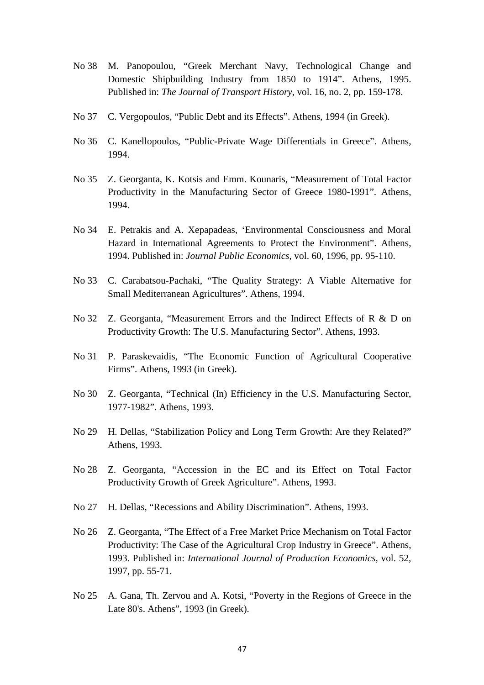- No 38 M. Panopoulou, "Greek Merchant Navy, Technological Change and Domestic Shipbuilding Industry from 1850 to 1914". Athens, 1995. Published in: *The Journal of Transport History*, vol. 16, no. 2, pp. 159-178.
- No 37 C. Vergopoulos, "Public Debt and its Effects". Athens, 1994 (in Greek).
- No 36 C. Kanellopoulos, "Public-Private Wage Differentials in Greece". Athens, 1994.
- No 35 Z. Georganta, K. Kotsis and Emm. Kounaris, "Measurement of Total Factor Productivity in the Manufacturing Sector of Greece 1980-1991". Athens, 1994.
- No 34 E. Petrakis and A. Xepapadeas, 'Environmental Consciousness and Moral Hazard in International Agreements to Protect the Environment". Athens, 1994. Published in: *Journal Public Economics*, vol. 60, 1996, pp. 95-110.
- No 33 C. Carabatsou-Pachaki, "The Quality Strategy: A Viable Alternative for Small Mediterranean Agricultures". Athens, 1994.
- No 32 Z. Georganta, "Measurement Errors and the Indirect Effects of R & D on Productivity Growth: The U.S. Manufacturing Sector". Athens, 1993.
- No 31 P. Paraskevaidis, "The Economic Function of Agricultural Cooperative Firms". Athens, 1993 (in Greek).
- No 30 Z. Georganta, "Technical (In) Efficiency in the U.S. Manufacturing Sector, 1977-1982". Athens, 1993.
- No 29 H. Dellas, "Stabilization Policy and Long Term Growth: Are they Related?" Athens, 1993.
- No 28 Z. Georganta, "Accession in the EC and its Effect on Total Factor Productivity Growth of Greek Agriculture". Athens, 1993.
- No 27 H. Dellas, "Recessions and Ability Discrimination". Athens, 1993.
- No 26 Z. Georganta, "The Effect of a Free Market Price Mechanism on Total Factor Productivity: The Case of the Agricultural Crop Industry in Greece". Athens, 1993. Published in: *International Journal of Production Economics*, vol. 52, 1997, pp. 55-71.
- No 25 A. Gana, Th. Zervou and A. Kotsi, "Poverty in the Regions of Greece in the Late 80's. Athens", 1993 (in Greek).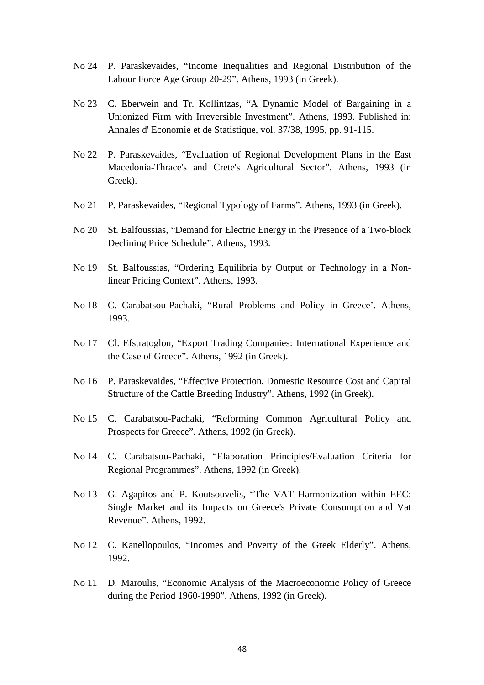- No 24 P. Paraskevaides, "Income Inequalities and Regional Distribution of the Labour Force Age Group 20-29". Athens, 1993 (in Greek).
- No 23 C. Eberwein and Tr. Kollintzas, "A Dynamic Model of Bargaining in a Unionized Firm with Irreversible Investment". Athens, 1993. Published in: Annales d' Economie et de Statistique, vol. 37/38, 1995, pp. 91-115.
- No 22 P. Paraskevaides, "Evaluation of Regional Development Plans in the East Macedonia-Thrace's and Crete's Agricultural Sector". Athens, 1993 (in Greek).
- No 21 P. Paraskevaides, "Regional Typology of Farms". Athens, 1993 (in Greek).
- No 20 St. Balfoussias, "Demand for Electric Energy in the Presence of a Two-block Declining Price Schedule". Athens, 1993.
- No 19 St. Balfoussias, "Ordering Equilibria by Output or Technology in a Nonlinear Pricing Context". Athens, 1993.
- No 18 C. Carabatsou-Pachaki, "Rural Problems and Policy in Greece'. Athens, 1993.
- No 17 Cl. Efstratoglou, "Export Trading Companies: International Experience and the Case of Greece". Athens, 1992 (in Greek).
- No 16 P. Paraskevaides, "Effective Protection, Domestic Resource Cost and Capital Structure of the Cattle Breeding Industry". Athens, 1992 (in Greek).
- No 15 C. Carabatsou-Pachaki, "Reforming Common Agricultural Policy and Prospects for Greece". Athens, 1992 (in Greek).
- No 14 C. Carabatsou-Pachaki, "Elaboration Principles/Evaluation Criteria for Regional Programmes". Athens, 1992 (in Greek).
- No 13 G. Agapitos and P. Koutsouvelis, "The VAT Harmonization within EEC: Single Market and its Impacts on Greece's Private Consumption and Vat Revenue". Athens, 1992.
- No 12 C. Kanellopoulos, "Incomes and Poverty of the Greek Elderly". Athens, 1992.
- No 11 D. Maroulis, "Economic Analysis of the Macroeconomic Policy of Greece during the Period 1960-1990". Athens, 1992 (in Greek).